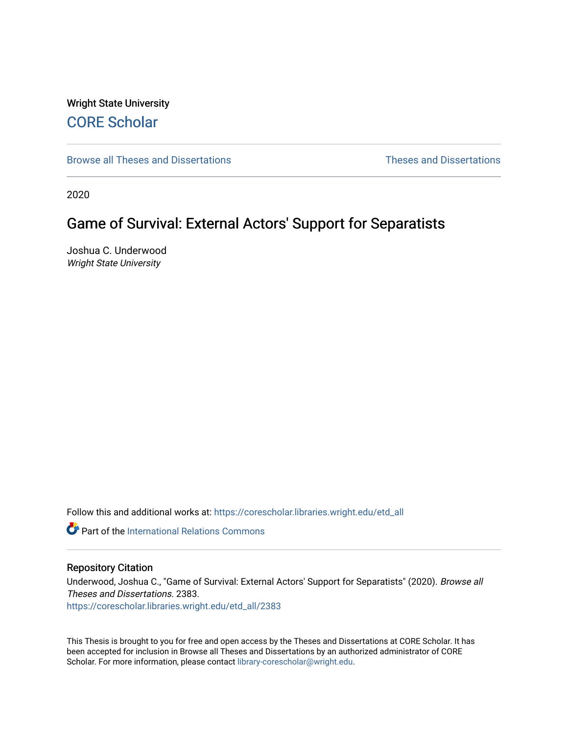# Wright State University [CORE Scholar](https://corescholar.libraries.wright.edu/)

[Browse all Theses and Dissertations](https://corescholar.libraries.wright.edu/etd_all) [Theses and Dissertations](https://corescholar.libraries.wright.edu/etd_comm) 

2020

# Game of Survival: External Actors' Support for Separatists

Joshua C. Underwood Wright State University

Follow this and additional works at: [https://corescholar.libraries.wright.edu/etd\\_all](https://corescholar.libraries.wright.edu/etd_all?utm_source=corescholar.libraries.wright.edu%2Fetd_all%2F2383&utm_medium=PDF&utm_campaign=PDFCoverPages) 

**Part of the International Relations Commons** 

## Repository Citation

Underwood, Joshua C., "Game of Survival: External Actors' Support for Separatists" (2020). Browse all Theses and Dissertations. 2383.

[https://corescholar.libraries.wright.edu/etd\\_all/2383](https://corescholar.libraries.wright.edu/etd_all/2383?utm_source=corescholar.libraries.wright.edu%2Fetd_all%2F2383&utm_medium=PDF&utm_campaign=PDFCoverPages)

This Thesis is brought to you for free and open access by the Theses and Dissertations at CORE Scholar. It has been accepted for inclusion in Browse all Theses and Dissertations by an authorized administrator of CORE Scholar. For more information, please contact [library-corescholar@wright.edu](mailto:library-corescholar@wright.edu).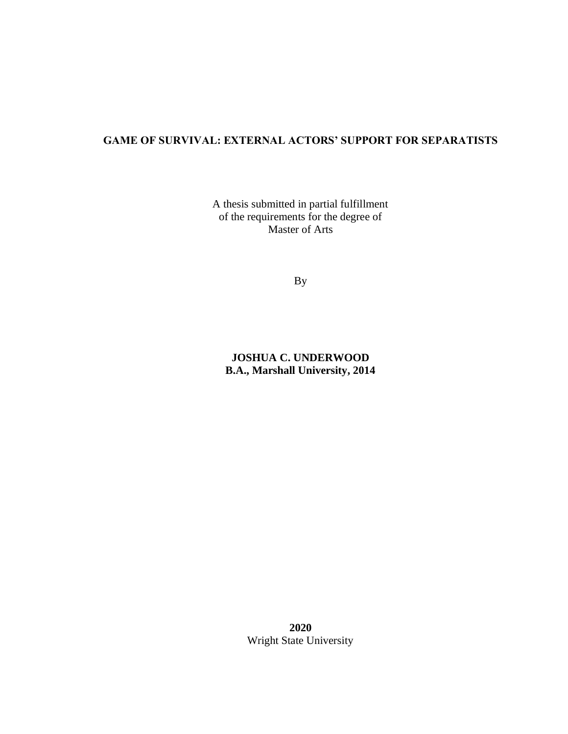## **GAME OF SURVIVAL: EXTERNAL ACTORS' SUPPORT FOR SEPARATISTS**

A thesis submitted in partial fulfillment of the requirements for the degree of Master of Arts

By

**JOSHUA C. UNDERWOOD B.A., Marshall University, 2014**

> **2020** Wright State University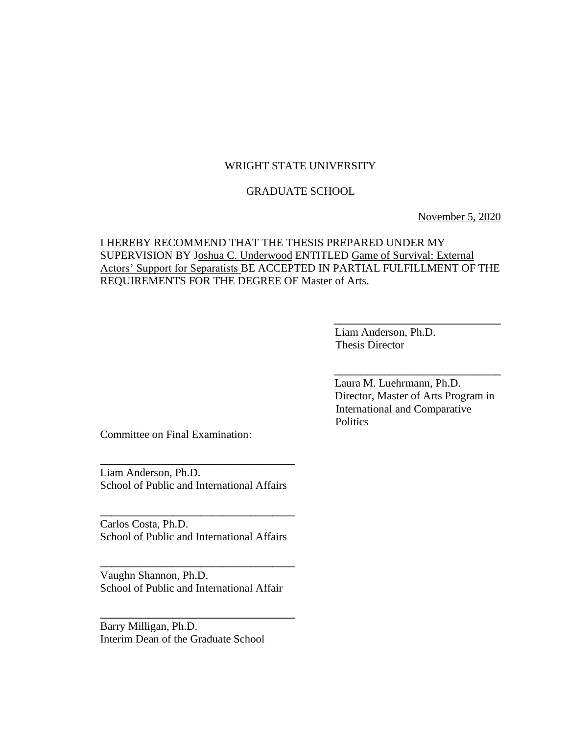## WRIGHT STATE UNIVERSITY

## GRADUATE SCHOOL

November 5, 2020

## I HEREBY RECOMMEND THAT THE THESIS PREPARED UNDER MY SUPERVISION BY Joshua C. Underwood ENTITLED Game of Survival: External Actors' Support for Separatists BE ACCEPTED IN PARTIAL FULFILLMENT OF THE REQUIREMENTS FOR THE DEGREE OF Master of Arts.

**\_\_\_\_\_\_\_\_\_\_\_\_\_\_\_\_\_\_\_\_\_\_\_\_\_\_\_\_\_\_** 

 Liam Anderson, Ph.D. Thesis Director

 Laura M. Luehrmann, Ph.D. Director, Master of Arts Program in International and Comparative **Politics** 

**\_\_\_\_\_\_\_\_\_\_\_\_\_\_\_\_\_\_\_\_\_\_\_\_\_\_\_\_\_\_** 

Committee on Final Examination:

Liam Anderson, Ph.D. School of Public and International Affairs

**\_\_\_\_\_\_\_\_\_\_\_\_\_\_\_\_\_\_\_\_\_\_\_\_\_\_\_\_\_\_\_\_\_\_\_** 

Carlos Costa, Ph.D. School of Public and International Affairs

**\_\_\_\_\_\_\_\_\_\_\_\_\_\_\_\_\_\_\_\_\_\_\_\_\_\_\_\_\_\_\_\_\_\_\_**

Vaughn Shannon, Ph.D. School of Public and International Affair

**\_\_\_\_\_\_\_\_\_\_\_\_\_\_\_\_\_\_\_\_\_\_\_\_\_\_\_\_\_\_\_\_\_\_\_** 

**\_\_\_\_\_\_\_\_\_\_\_\_\_\_\_\_\_\_\_\_\_\_\_\_\_\_\_\_\_\_\_\_\_\_\_** 

Barry Milligan, Ph.D. Interim Dean of the Graduate School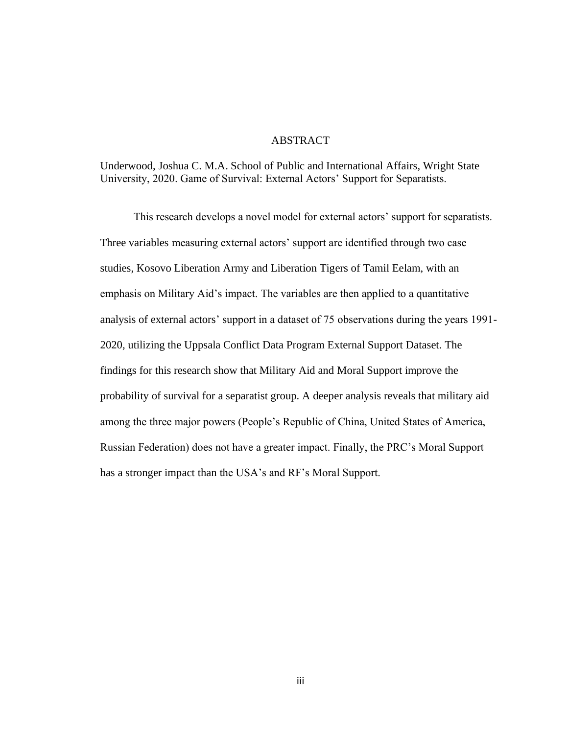## ABSTRACT

Underwood, Joshua C. M.A. School of Public and International Affairs, Wright State University, 2020. Game of Survival: External Actors' Support for Separatists.

This research develops a novel model for external actors' support for separatists. Three variables measuring external actors' support are identified through two case studies, Kosovo Liberation Army and Liberation Tigers of Tamil Eelam, with an emphasis on Military Aid's impact. The variables are then applied to a quantitative analysis of external actors' support in a dataset of 75 observations during the years 1991- 2020, utilizing the Uppsala Conflict Data Program External Support Dataset. The findings for this research show that Military Aid and Moral Support improve the probability of survival for a separatist group. A deeper analysis reveals that military aid among the three major powers (People's Republic of China, United States of America, Russian Federation) does not have a greater impact. Finally, the PRC's Moral Support has a stronger impact than the USA's and RF's Moral Support.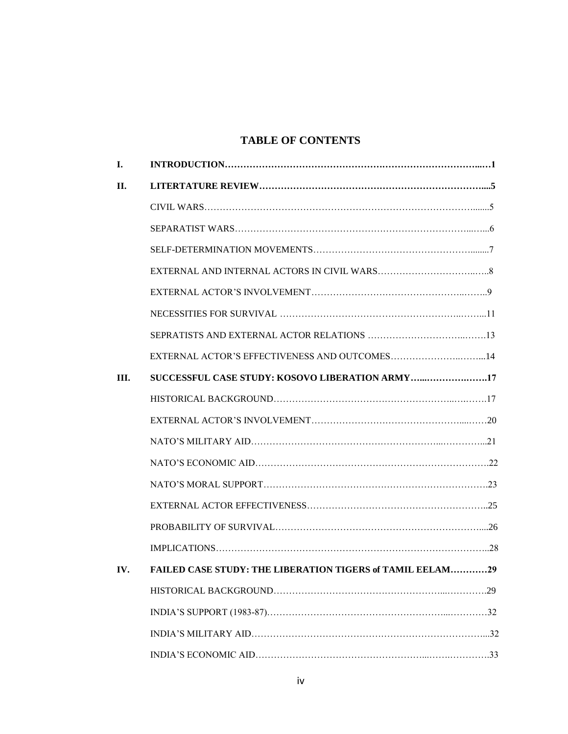## **TABLE OF CONTENTS**

| <b>I.</b> |                                                           |  |
|-----------|-----------------------------------------------------------|--|
| II.       |                                                           |  |
|           |                                                           |  |
|           |                                                           |  |
|           |                                                           |  |
|           |                                                           |  |
|           |                                                           |  |
|           |                                                           |  |
|           |                                                           |  |
|           | EXTERNAL ACTOR'S EFFECTIVENESS AND OUTCOMES14             |  |
| III.      | SUCCESSFUL CASE STUDY: KOSOVO LIBERATION ARMY17           |  |
|           |                                                           |  |
|           |                                                           |  |
|           |                                                           |  |
|           |                                                           |  |
|           |                                                           |  |
|           |                                                           |  |
|           |                                                           |  |
|           |                                                           |  |
| IV.       | FAILED CASE STUDY: THE LIBERATION TIGERS of TAMIL EELAM29 |  |
|           |                                                           |  |
|           |                                                           |  |
|           |                                                           |  |
|           |                                                           |  |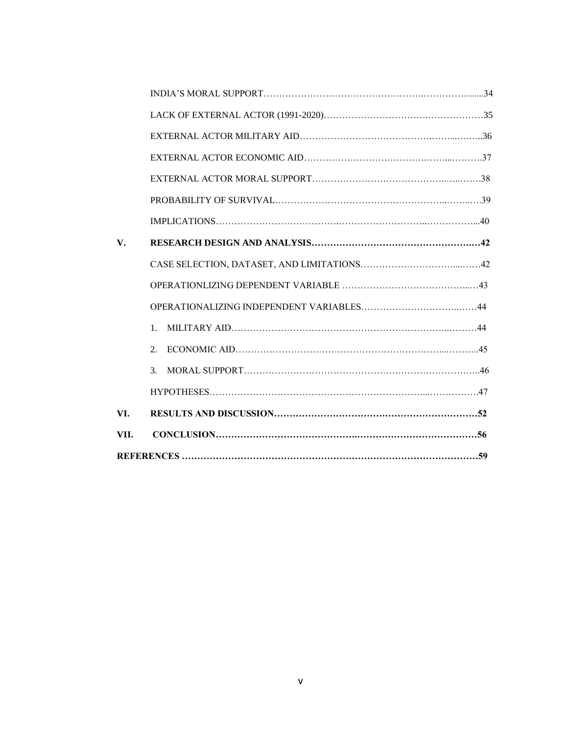| VII. |                             |  |  |  |
|------|-----------------------------|--|--|--|
| VI.  |                             |  |  |  |
|      |                             |  |  |  |
|      | $\mathcal{F}_{\mathcal{L}}$ |  |  |  |
|      | 2.                          |  |  |  |
|      | $\mathbf{1}$ .              |  |  |  |
|      |                             |  |  |  |
|      |                             |  |  |  |
|      |                             |  |  |  |
| V.   |                             |  |  |  |
|      |                             |  |  |  |
|      |                             |  |  |  |
|      |                             |  |  |  |
|      |                             |  |  |  |
|      |                             |  |  |  |
|      |                             |  |  |  |
|      |                             |  |  |  |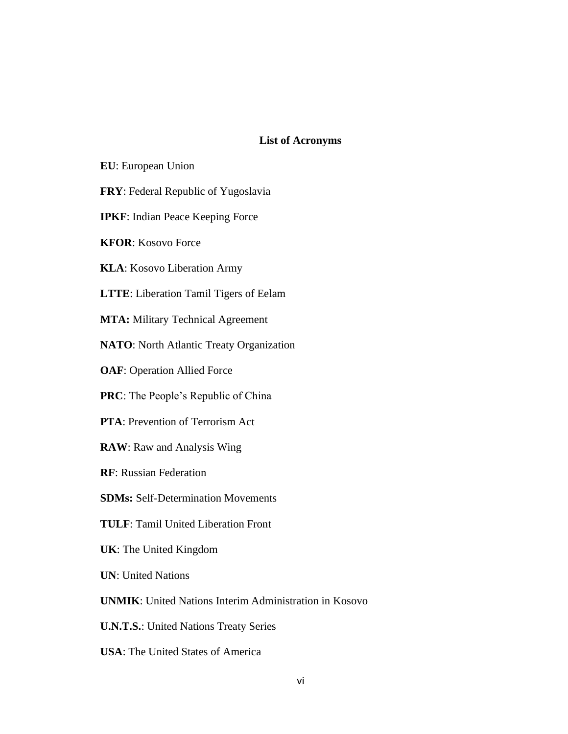## **List of Acronyms**

- **EU**: European Union
- **FRY**: Federal Republic of Yugoslavia
- **IPKF**: Indian Peace Keeping Force
- **KFOR**: Kosovo Force
- **KLA**: Kosovo Liberation Army
- **LTTE**: Liberation Tamil Tigers of Eelam
- **MTA:** Military Technical Agreement
- **NATO**: North Atlantic Treaty Organization
- **OAF**: Operation Allied Force
- **PRC**: The People's Republic of China
- **PTA**: Prevention of Terrorism Act
- **RAW**: Raw and Analysis Wing
- **RF**: Russian Federation
- **SDMs:** Self-Determination Movements
- **TULF**: Tamil United Liberation Front
- **UK**: The United Kingdom
- **UN**: United Nations
- **UNMIK**: United Nations Interim Administration in Kosovo
- **U.N.T.S.**: United Nations Treaty Series
- **USA**: The United States of America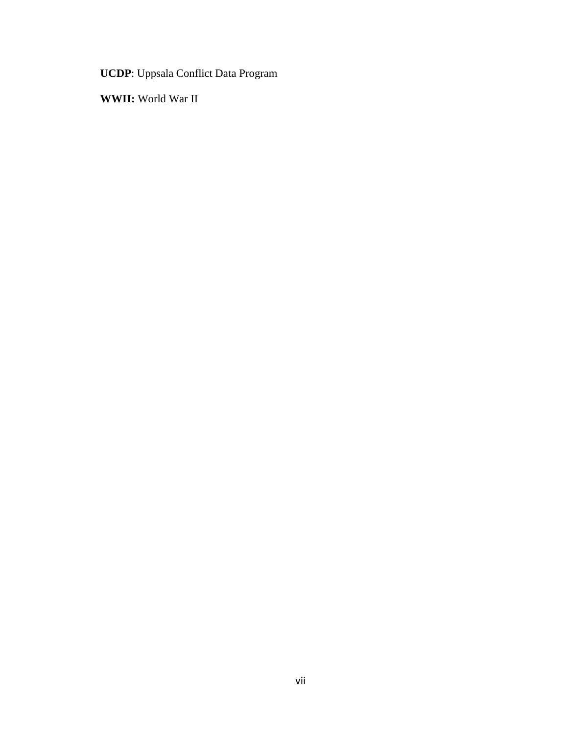**UCDP**: Uppsala Conflict Data Program

**WWII:** World War II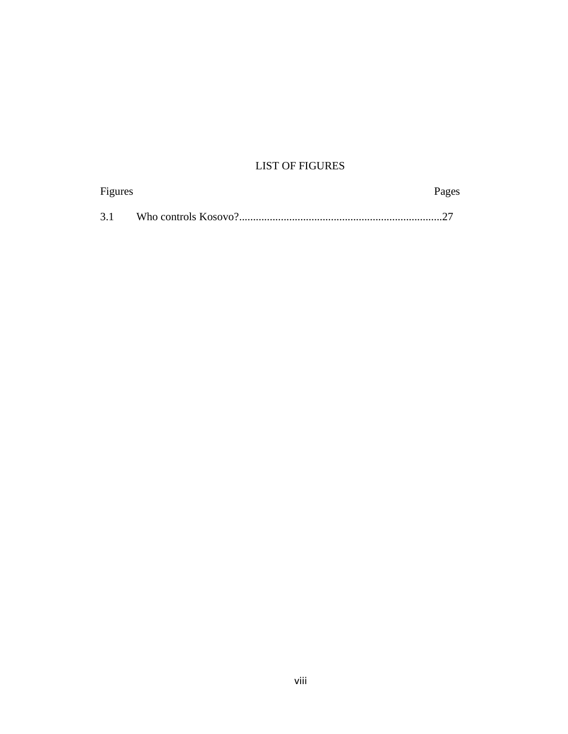# LIST OF FIGURES

| Figures | Pages |
|---------|-------|
| 3.1     |       |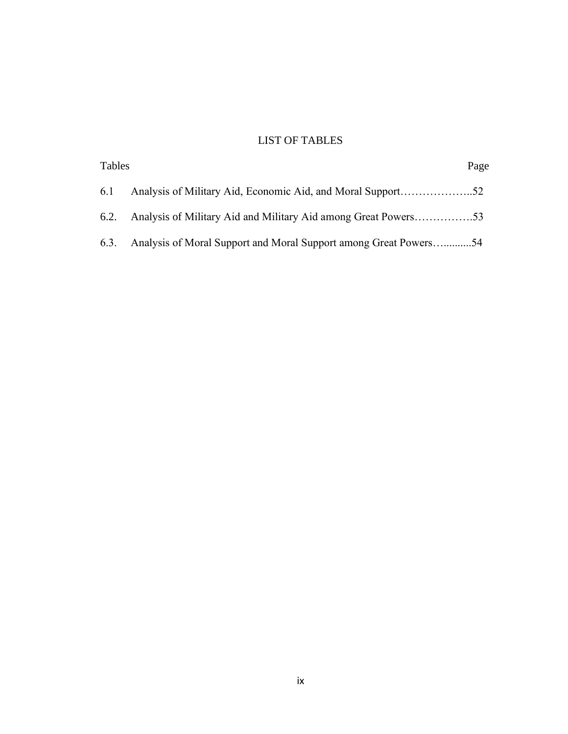## LIST OF TABLES

| Tables |                                                                     | Page |
|--------|---------------------------------------------------------------------|------|
| 6.1    |                                                                     |      |
|        | 6.2. Analysis of Military Aid and Military Aid among Great Powers53 |      |
| 6.3.   | Analysis of Moral Support and Moral Support among Great Powers54    |      |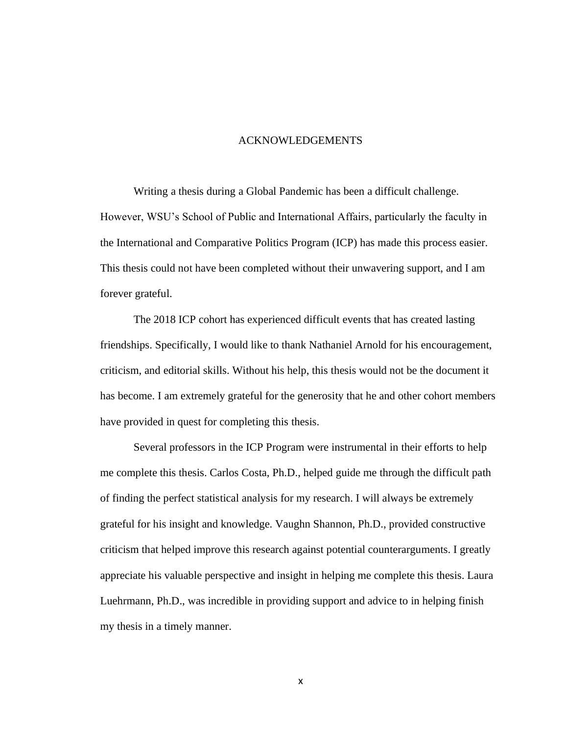### ACKNOWLEDGEMENTS

Writing a thesis during a Global Pandemic has been a difficult challenge. However, WSU's School of Public and International Affairs, particularly the faculty in the International and Comparative Politics Program (ICP) has made this process easier. This thesis could not have been completed without their unwavering support, and I am forever grateful.

The 2018 ICP cohort has experienced difficult events that has created lasting friendships. Specifically, I would like to thank Nathaniel Arnold for his encouragement, criticism, and editorial skills. Without his help, this thesis would not be the document it has become. I am extremely grateful for the generosity that he and other cohort members have provided in quest for completing this thesis.

Several professors in the ICP Program were instrumental in their efforts to help me complete this thesis. Carlos Costa, Ph.D., helped guide me through the difficult path of finding the perfect statistical analysis for my research. I will always be extremely grateful for his insight and knowledge. Vaughn Shannon, Ph.D., provided constructive criticism that helped improve this research against potential counterarguments. I greatly appreciate his valuable perspective and insight in helping me complete this thesis. Laura Luehrmann, Ph.D., was incredible in providing support and advice to in helping finish my thesis in a timely manner.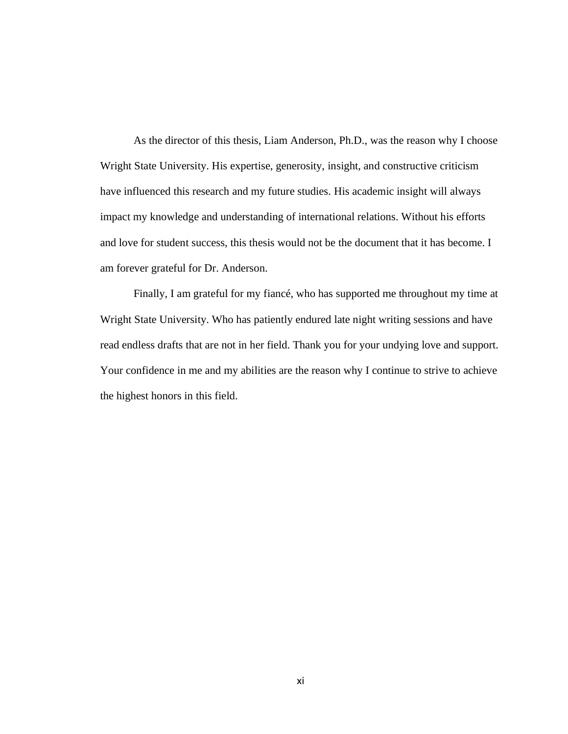As the director of this thesis, Liam Anderson, Ph.D., was the reason why I choose Wright State University. His expertise, generosity, insight, and constructive criticism have influenced this research and my future studies. His academic insight will always impact my knowledge and understanding of international relations. Without his efforts and love for student success, this thesis would not be the document that it has become. I am forever grateful for Dr. Anderson.

Finally, I am grateful for my fiancé, who has supported me throughout my time at Wright State University. Who has patiently endured late night writing sessions and have read endless drafts that are not in her field. Thank you for your undying love and support. Your confidence in me and my abilities are the reason why I continue to strive to achieve the highest honors in this field.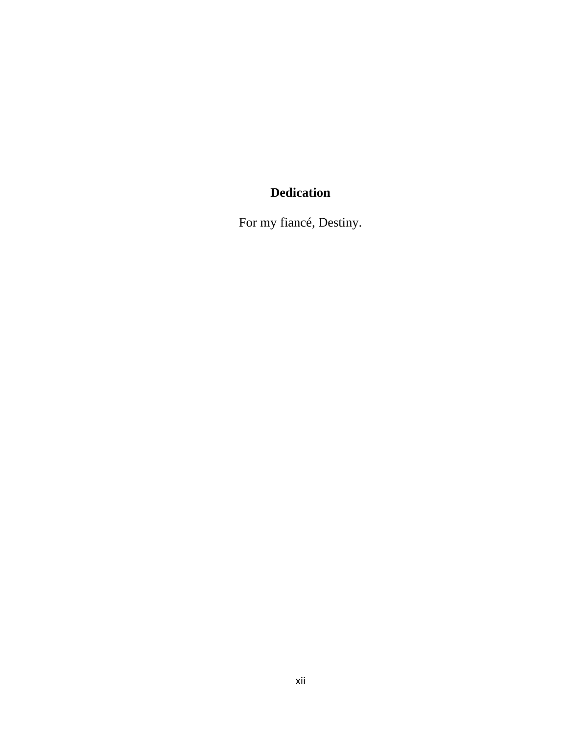# **Dedication**

For my fiancé, Destiny.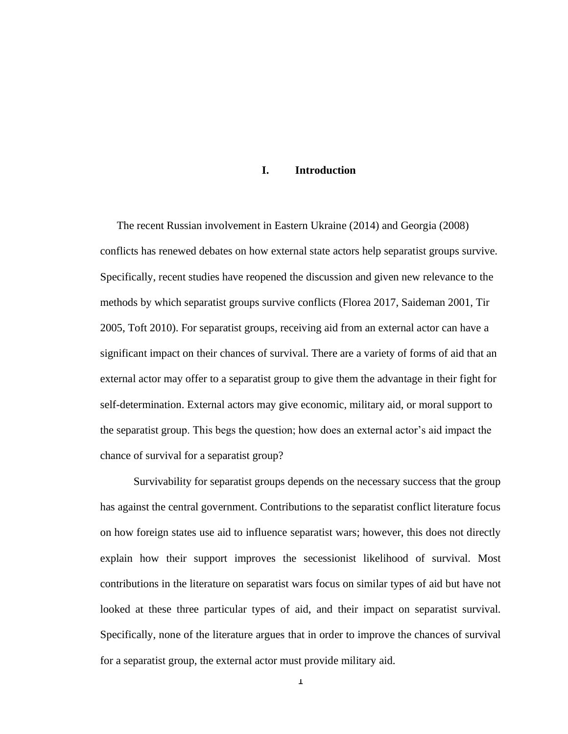## **I. Introduction**

The recent Russian involvement in Eastern Ukraine (2014) and Georgia (2008) conflicts has renewed debates on how external state actors help separatist groups survive. Specifically, recent studies have reopened the discussion and given new relevance to the methods by which separatist groups survive conflicts (Florea 2017, Saideman 2001, Tir 2005, Toft 2010). For separatist groups, receiving aid from an external actor can have a significant impact on their chances of survival. There are a variety of forms of aid that an external actor may offer to a separatist group to give them the advantage in their fight for self-determination. External actors may give economic, military aid, or moral support to the separatist group. This begs the question; how does an external actor's aid impact the chance of survival for a separatist group?

Survivability for separatist groups depends on the necessary success that the group has against the central government. Contributions to the separatist conflict literature focus on how foreign states use aid to influence separatist wars; however, this does not directly explain how their support improves the secessionist likelihood of survival. Most contributions in the literature on separatist wars focus on similar types of aid but have not looked at these three particular types of aid, and their impact on separatist survival. Specifically, none of the literature argues that in order to improve the chances of survival for a separatist group, the external actor must provide military aid.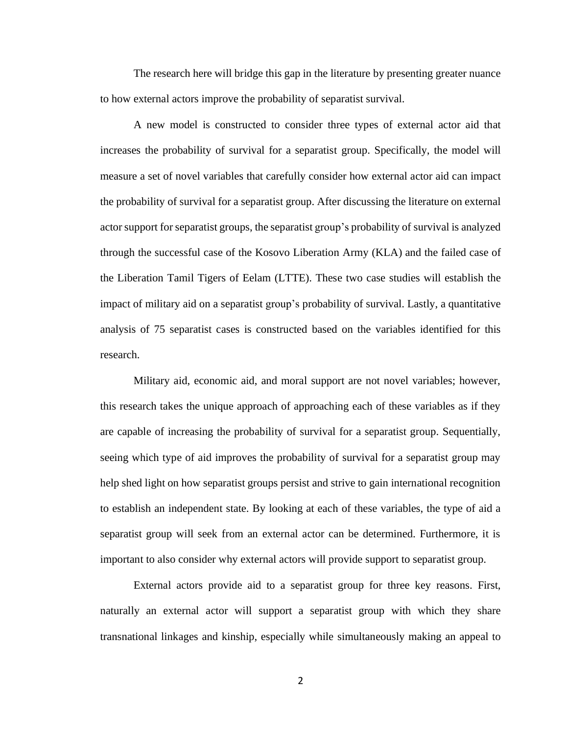The research here will bridge this gap in the literature by presenting greater nuance to how external actors improve the probability of separatist survival.

A new model is constructed to consider three types of external actor aid that increases the probability of survival for a separatist group. Specifically, the model will measure a set of novel variables that carefully consider how external actor aid can impact the probability of survival for a separatist group. After discussing the literature on external actorsupport forseparatist groups, the separatist group's probability of survival is analyzed through the successful case of the Kosovo Liberation Army (KLA) and the failed case of the Liberation Tamil Tigers of Eelam (LTTE). These two case studies will establish the impact of military aid on a separatist group's probability of survival. Lastly, a quantitative analysis of 75 separatist cases is constructed based on the variables identified for this research.

Military aid, economic aid, and moral support are not novel variables; however, this research takes the unique approach of approaching each of these variables as if they are capable of increasing the probability of survival for a separatist group. Sequentially, seeing which type of aid improves the probability of survival for a separatist group may help shed light on how separatist groups persist and strive to gain international recognition to establish an independent state. By looking at each of these variables, the type of aid a separatist group will seek from an external actor can be determined. Furthermore, it is important to also consider why external actors will provide support to separatist group.

External actors provide aid to a separatist group for three key reasons. First, naturally an external actor will support a separatist group with which they share transnational linkages and kinship, especially while simultaneously making an appeal to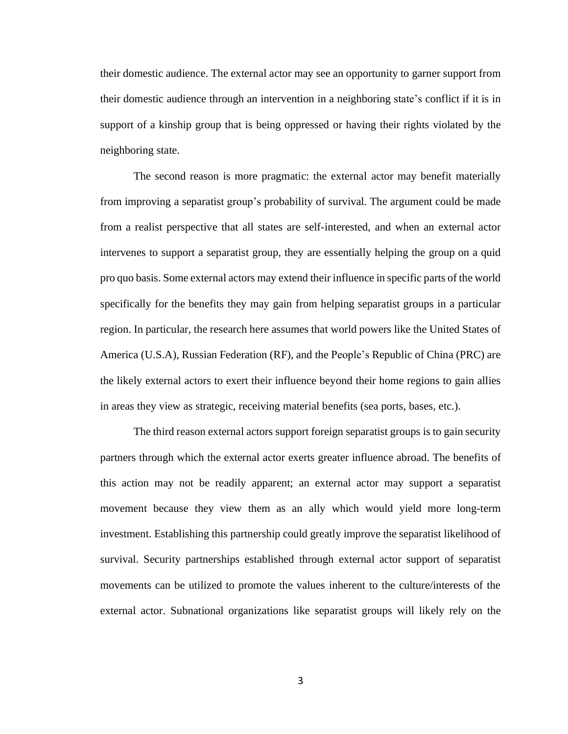their domestic audience. The external actor may see an opportunity to garner support from their domestic audience through an intervention in a neighboring state's conflict if it is in support of a kinship group that is being oppressed or having their rights violated by the neighboring state.

The second reason is more pragmatic: the external actor may benefit materially from improving a separatist group's probability of survival. The argument could be made from a realist perspective that all states are self-interested, and when an external actor intervenes to support a separatist group, they are essentially helping the group on a quid pro quo basis. Some external actors may extend their influence in specific parts of the world specifically for the benefits they may gain from helping separatist groups in a particular region. In particular, the research here assumes that world powers like the United States of America (U.S.A), Russian Federation (RF), and the People's Republic of China (PRC) are the likely external actors to exert their influence beyond their home regions to gain allies in areas they view as strategic, receiving material benefits (sea ports, bases, etc.).

The third reason external actors support foreign separatist groups is to gain security partners through which the external actor exerts greater influence abroad. The benefits of this action may not be readily apparent; an external actor may support a separatist movement because they view them as an ally which would yield more long-term investment. Establishing this partnership could greatly improve the separatist likelihood of survival. Security partnerships established through external actor support of separatist movements can be utilized to promote the values inherent to the culture/interests of the external actor. Subnational organizations like separatist groups will likely rely on the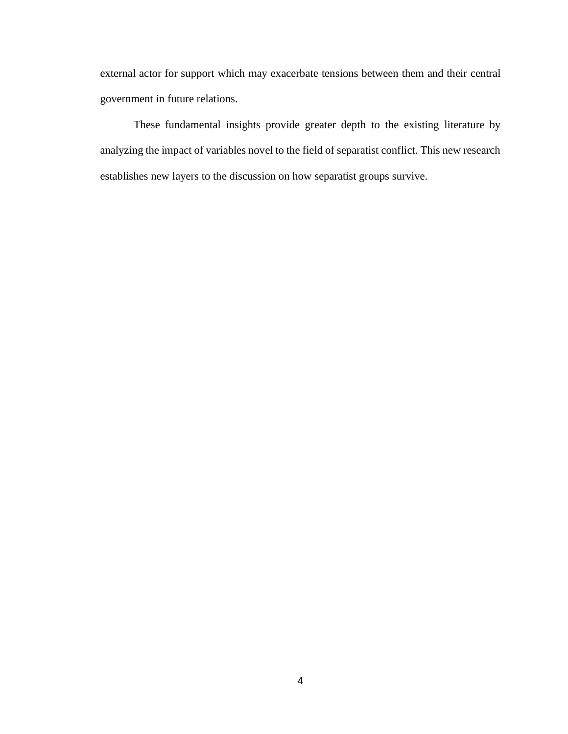external actor for support which may exacerbate tensions between them and their central government in future relations.

These fundamental insights provide greater depth to the existing literature by analyzing the impact of variables novel to the field of separatist conflict. This new research establishes new layers to the discussion on how separatist groups survive.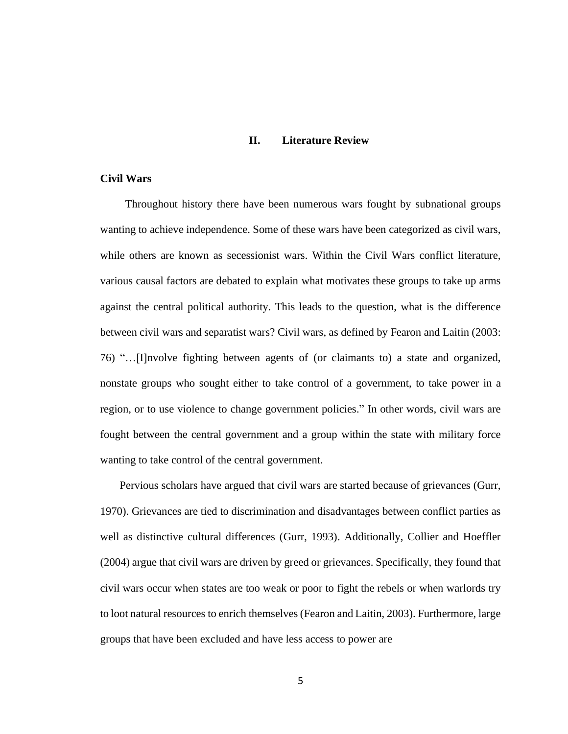### **II. Literature Review**

## **Civil Wars**

 Throughout history there have been numerous wars fought by subnational groups wanting to achieve independence. Some of these wars have been categorized as civil wars, while others are known as secessionist wars. Within the Civil Wars conflict literature, various causal factors are debated to explain what motivates these groups to take up arms against the central political authority. This leads to the question, what is the difference between civil wars and separatist wars? Civil wars, as defined by Fearon and Laitin (2003: 76) "…[I]nvolve fighting between agents of (or claimants to) a state and organized, nonstate groups who sought either to take control of a government, to take power in a region, or to use violence to change government policies." In other words, civil wars are fought between the central government and a group within the state with military force wanting to take control of the central government.

Pervious scholars have argued that civil wars are started because of grievances (Gurr, 1970). Grievances are tied to discrimination and disadvantages between conflict parties as well as distinctive cultural differences (Gurr, 1993). Additionally, Collier and Hoeffler (2004) argue that civil wars are driven by greed or grievances. Specifically, they found that civil wars occur when states are too weak or poor to fight the rebels or when warlords try to loot natural resources to enrich themselves (Fearon and Laitin, 2003). Furthermore, large groups that have been excluded and have less access to power are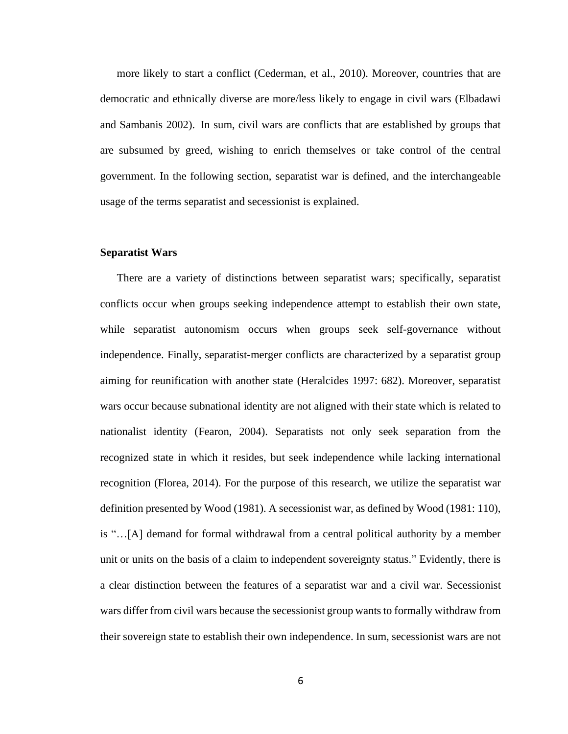more likely to start a conflict (Cederman, et al., 2010). Moreover, countries that are democratic and ethnically diverse are more/less likely to engage in civil wars (Elbadawi and Sambanis 2002). In sum, civil wars are conflicts that are established by groups that are subsumed by greed, wishing to enrich themselves or take control of the central government. In the following section, separatist war is defined, and the interchangeable usage of the terms separatist and secessionist is explained.

#### **Separatist Wars**

There are a variety of distinctions between separatist wars; specifically, separatist conflicts occur when groups seeking independence attempt to establish their own state, while separatist autonomism occurs when groups seek self-governance without independence. Finally, separatist-merger conflicts are characterized by a separatist group aiming for reunification with another state (Heralcides 1997: 682). Moreover, separatist wars occur because subnational identity are not aligned with their state which is related to nationalist identity (Fearon, 2004). Separatists not only seek separation from the recognized state in which it resides, but seek independence while lacking international recognition (Florea, 2014). For the purpose of this research, we utilize the separatist war definition presented by Wood (1981). A secessionist war, as defined by Wood (1981: 110), is "…[A] demand for formal withdrawal from a central political authority by a member unit or units on the basis of a claim to independent sovereignty status." Evidently, there is a clear distinction between the features of a separatist war and a civil war. Secessionist wars differ from civil wars because the secessionist group wants to formally withdraw from their sovereign state to establish their own independence. In sum, secessionist wars are not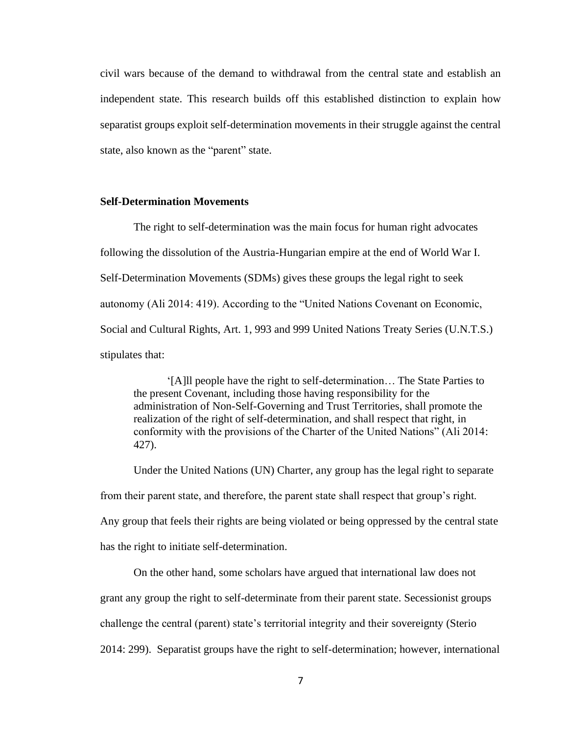civil wars because of the demand to withdrawal from the central state and establish an independent state. This research builds off this established distinction to explain how separatist groups exploit self-determination movements in their struggle against the central state, also known as the "parent" state.

## **Self-Determination Movements**

The right to self-determination was the main focus for human right advocates following the dissolution of the Austria-Hungarian empire at the end of World War I. Self-Determination Movements (SDMs) gives these groups the legal right to seek autonomy (Ali 2014: 419). According to the "United Nations Covenant on Economic, Social and Cultural Rights, Art. 1, 993 and 999 United Nations Treaty Series (U.N.T.S.) stipulates that:

'[A]ll people have the right to self-determination… The State Parties to the present Covenant, including those having responsibility for the administration of Non-Self-Governing and Trust Territories, shall promote the realization of the right of self-determination, and shall respect that right, in conformity with the provisions of the Charter of the United Nations" (Ali 2014: 427).

Under the United Nations (UN) Charter, any group has the legal right to separate from their parent state, and therefore, the parent state shall respect that group's right. Any group that feels their rights are being violated or being oppressed by the central state has the right to initiate self-determination.

On the other hand, some scholars have argued that international law does not grant any group the right to self-determinate from their parent state. Secessionist groups challenge the central (parent) state's territorial integrity and their sovereignty (Sterio 2014: 299). Separatist groups have the right to self-determination; however, international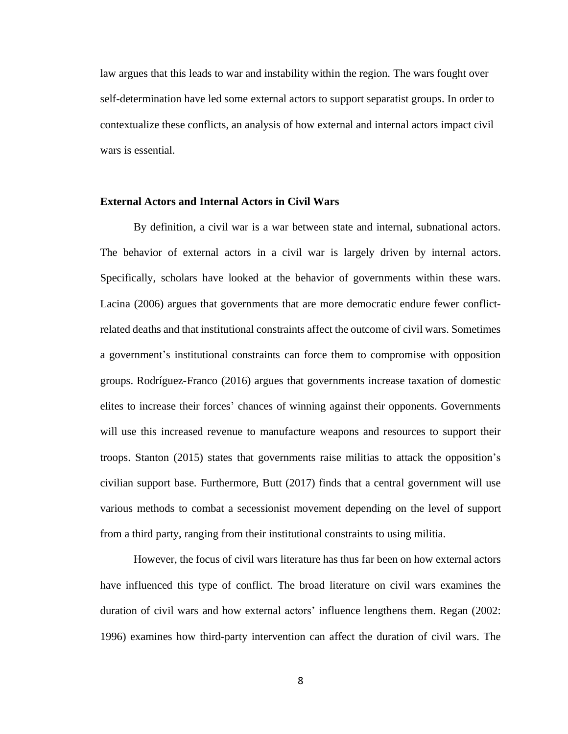law argues that this leads to war and instability within the region. The wars fought over self-determination have led some external actors to support separatist groups. In order to contextualize these conflicts, an analysis of how external and internal actors impact civil wars is essential.

## **External Actors and Internal Actors in Civil Wars**

By definition, a civil war is a war between state and internal, subnational actors. The behavior of external actors in a civil war is largely driven by internal actors. Specifically, scholars have looked at the behavior of governments within these wars. Lacina (2006) argues that governments that are more democratic endure fewer conflictrelated deaths and that institutional constraints affect the outcome of civil wars. Sometimes a government's institutional constraints can force them to compromise with opposition groups. Rodríguez-Franco (2016) argues that governments increase taxation of domestic elites to increase their forces' chances of winning against their opponents. Governments will use this increased revenue to manufacture weapons and resources to support their troops. Stanton (2015) states that governments raise militias to attack the opposition's civilian support base. Furthermore, Butt (2017) finds that a central government will use various methods to combat a secessionist movement depending on the level of support from a third party, ranging from their institutional constraints to using militia.

However, the focus of civil wars literature has thus far been on how external actors have influenced this type of conflict. The broad literature on civil wars examines the duration of civil wars and how external actors' influence lengthens them. Regan (2002: 1996) examines how third-party intervention can affect the duration of civil wars. The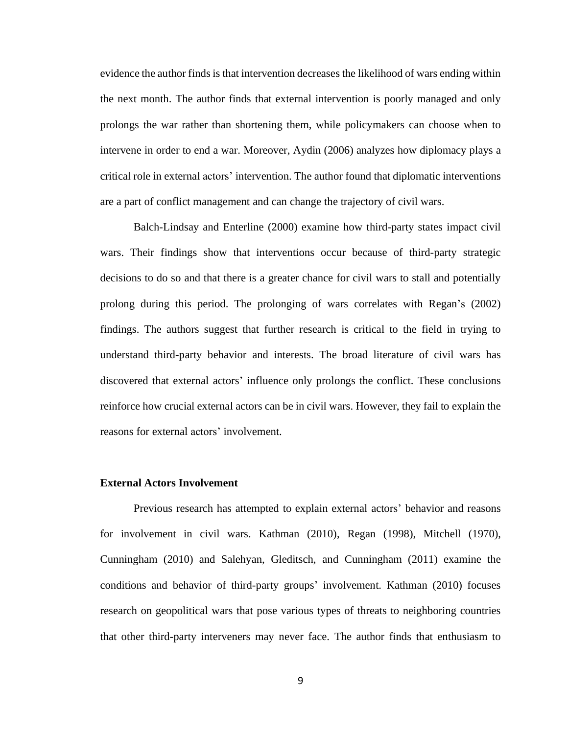evidence the author finds is that intervention decreases the likelihood of wars ending within the next month. The author finds that external intervention is poorly managed and only prolongs the war rather than shortening them, while policymakers can choose when to intervene in order to end a war. Moreover, Aydin (2006) analyzes how diplomacy plays a critical role in external actors' intervention. The author found that diplomatic interventions are a part of conflict management and can change the trajectory of civil wars.

Balch-Lindsay and Enterline (2000) examine how third-party states impact civil wars. Their findings show that interventions occur because of third-party strategic decisions to do so and that there is a greater chance for civil wars to stall and potentially prolong during this period. The prolonging of wars correlates with Regan's (2002) findings. The authors suggest that further research is critical to the field in trying to understand third-party behavior and interests. The broad literature of civil wars has discovered that external actors' influence only prolongs the conflict. These conclusions reinforce how crucial external actors can be in civil wars. However, they fail to explain the reasons for external actors' involvement.

### **External Actors Involvement**

Previous research has attempted to explain external actors' behavior and reasons for involvement in civil wars. Kathman (2010), Regan (1998), Mitchell (1970), Cunningham (2010) and Salehyan, Gleditsch, and Cunningham (2011) examine the conditions and behavior of third-party groups' involvement. Kathman (2010) focuses research on geopolitical wars that pose various types of threats to neighboring countries that other third-party interveners may never face. The author finds that enthusiasm to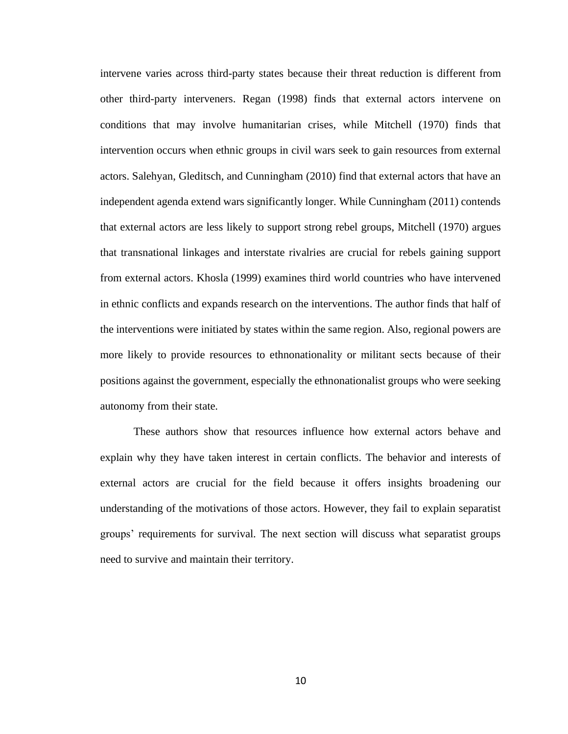intervene varies across third-party states because their threat reduction is different from other third-party interveners. Regan (1998) finds that external actors intervene on conditions that may involve humanitarian crises, while Mitchell (1970) finds that intervention occurs when ethnic groups in civil wars seek to gain resources from external actors. Salehyan, Gleditsch, and Cunningham (2010) find that external actors that have an independent agenda extend wars significantly longer. While Cunningham (2011) contends that external actors are less likely to support strong rebel groups, Mitchell (1970) argues that transnational linkages and interstate rivalries are crucial for rebels gaining support from external actors. Khosla (1999) examines third world countries who have intervened in ethnic conflicts and expands research on the interventions. The author finds that half of the interventions were initiated by states within the same region. Also, regional powers are more likely to provide resources to ethnonationality or militant sects because of their positions against the government, especially the ethnonationalist groups who were seeking autonomy from their state.

These authors show that resources influence how external actors behave and explain why they have taken interest in certain conflicts. The behavior and interests of external actors are crucial for the field because it offers insights broadening our understanding of the motivations of those actors. However, they fail to explain separatist groups' requirements for survival. The next section will discuss what separatist groups need to survive and maintain their territory.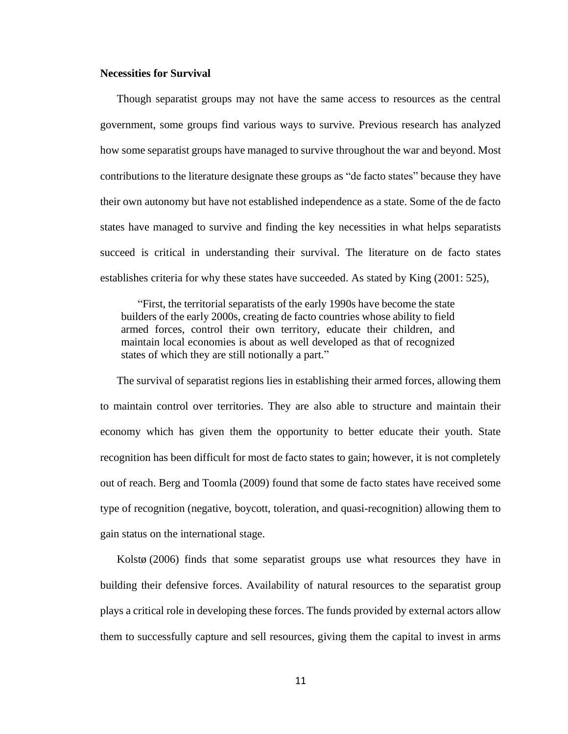## **Necessities for Survival**

Though separatist groups may not have the same access to resources as the central government, some groups find various ways to survive. Previous research has analyzed how some separatist groups have managed to survive throughout the war and beyond. Most contributions to the literature designate these groups as "de facto states" because they have their own autonomy but have not established independence as a state. Some of the de facto states have managed to survive and finding the key necessities in what helps separatists succeed is critical in understanding their survival. The literature on de facto states establishes criteria for why these states have succeeded. As stated by King (2001: 525),

"First, the territorial separatists of the early 1990s have become the state builders of the early 2000s, creating de facto countries whose ability to field armed forces, control their own territory, educate their children, and maintain local economies is about as well developed as that of recognized states of which they are still notionally a part."

The survival of separatist regions lies in establishing their armed forces, allowing them to maintain control over territories. They are also able to structure and maintain their economy which has given them the opportunity to better educate their youth. State recognition has been difficult for most de facto states to gain; however, it is not completely out of reach. Berg and Toomla (2009) found that some de facto states have received some type of recognition (negative, boycott, toleration, and quasi-recognition) allowing them to gain status on the international stage.

Kolstø (2006) finds that some separatist groups use what resources they have in building their defensive forces. Availability of natural resources to the separatist group plays a critical role in developing these forces. The funds provided by external actors allow them to successfully capture and sell resources, giving them the capital to invest in arms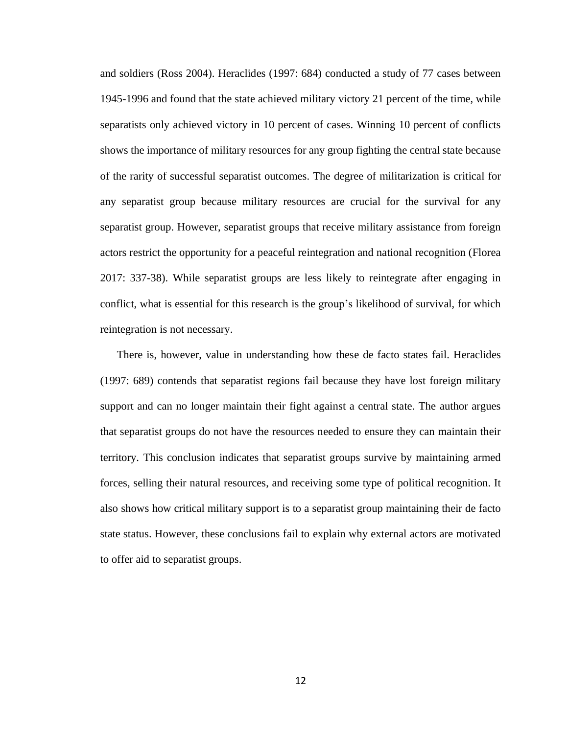and soldiers (Ross 2004). Heraclides (1997: 684) conducted a study of 77 cases between 1945-1996 and found that the state achieved military victory 21 percent of the time, while separatists only achieved victory in 10 percent of cases. Winning 10 percent of conflicts shows the importance of military resources for any group fighting the central state because of the rarity of successful separatist outcomes. The degree of militarization is critical for any separatist group because military resources are crucial for the survival for any separatist group. However, separatist groups that receive military assistance from foreign actors restrict the opportunity for a peaceful reintegration and national recognition (Florea 2017: 337-38). While separatist groups are less likely to reintegrate after engaging in conflict, what is essential for this research is the group's likelihood of survival, for which reintegration is not necessary.

There is, however, value in understanding how these de facto states fail. Heraclides (1997: 689) contends that separatist regions fail because they have lost foreign military support and can no longer maintain their fight against a central state. The author argues that separatist groups do not have the resources needed to ensure they can maintain their territory. This conclusion indicates that separatist groups survive by maintaining armed forces, selling their natural resources, and receiving some type of political recognition. It also shows how critical military support is to a separatist group maintaining their de facto state status. However, these conclusions fail to explain why external actors are motivated to offer aid to separatist groups.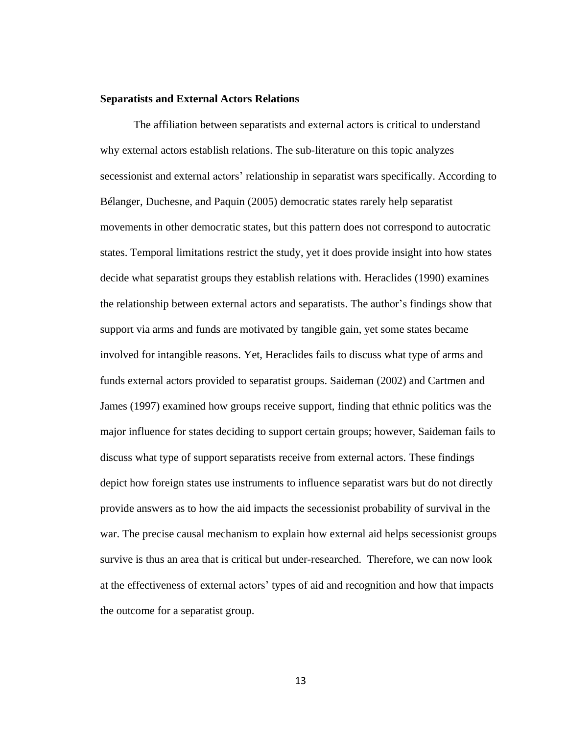#### **Separatists and External Actors Relations**

The affiliation between separatists and external actors is critical to understand why external actors establish relations. The sub-literature on this topic analyzes secessionist and external actors' relationship in separatist wars specifically. According to Bélanger, Duchesne, and Paquin (2005) democratic states rarely help separatist movements in other democratic states, but this pattern does not correspond to autocratic states. Temporal limitations restrict the study, yet it does provide insight into how states decide what separatist groups they establish relations with. Heraclides (1990) examines the relationship between external actors and separatists. The author's findings show that support via arms and funds are motivated by tangible gain, yet some states became involved for intangible reasons. Yet, Heraclides fails to discuss what type of arms and funds external actors provided to separatist groups. Saideman (2002) and Cartmen and James (1997) examined how groups receive support, finding that ethnic politics was the major influence for states deciding to support certain groups; however, Saideman fails to discuss what type of support separatists receive from external actors. These findings depict how foreign states use instruments to influence separatist wars but do not directly provide answers as to how the aid impacts the secessionist probability of survival in the war. The precise causal mechanism to explain how external aid helps secessionist groups survive is thus an area that is critical but under-researched. Therefore, we can now look at the effectiveness of external actors' types of aid and recognition and how that impacts the outcome for a separatist group.

13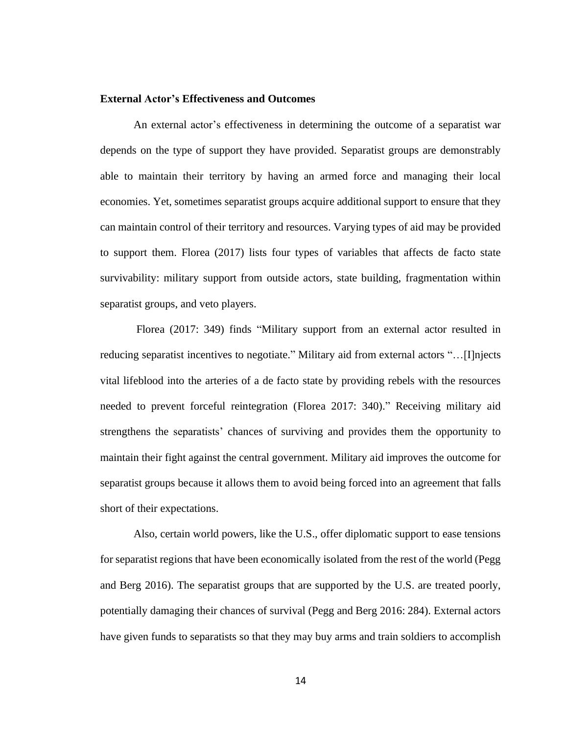## **External Actor's Effectiveness and Outcomes**

An external actor's effectiveness in determining the outcome of a separatist war depends on the type of support they have provided. Separatist groups are demonstrably able to maintain their territory by having an armed force and managing their local economies. Yet, sometimes separatist groups acquire additional support to ensure that they can maintain control of their territory and resources. Varying types of aid may be provided to support them. Florea (2017) lists four types of variables that affects de facto state survivability: military support from outside actors, state building, fragmentation within separatist groups, and veto players.

Florea (2017: 349) finds "Military support from an external actor resulted in reducing separatist incentives to negotiate." Military aid from external actors "…[I]njects vital lifeblood into the arteries of a de facto state by providing rebels with the resources needed to prevent forceful reintegration (Florea 2017: 340)." Receiving military aid strengthens the separatists' chances of surviving and provides them the opportunity to maintain their fight against the central government. Military aid improves the outcome for separatist groups because it allows them to avoid being forced into an agreement that falls short of their expectations.

Also, certain world powers, like the U.S., offer diplomatic support to ease tensions for separatist regions that have been economically isolated from the rest of the world (Pegg and Berg 2016). The separatist groups that are supported by the U.S. are treated poorly, potentially damaging their chances of survival (Pegg and Berg 2016: 284). External actors have given funds to separatists so that they may buy arms and train soldiers to accomplish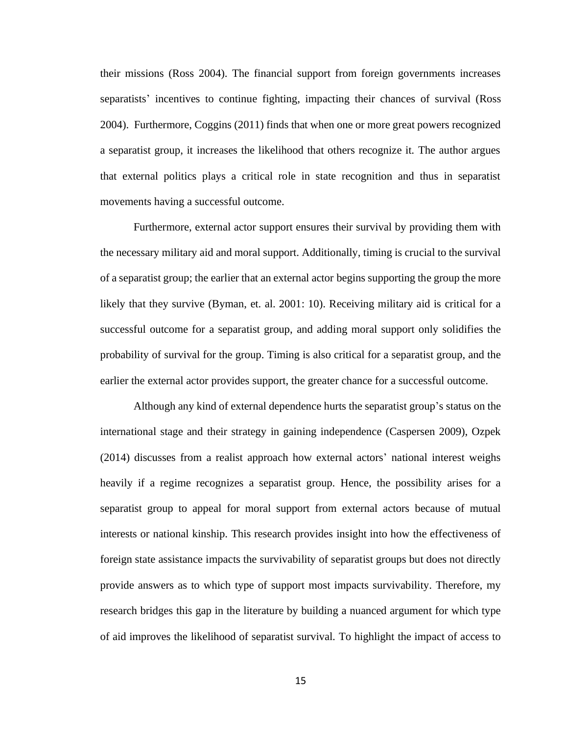their missions (Ross 2004). The financial support from foreign governments increases separatists' incentives to continue fighting, impacting their chances of survival (Ross 2004). Furthermore, Coggins (2011) finds that when one or more great powers recognized a separatist group, it increases the likelihood that others recognize it. The author argues that external politics plays a critical role in state recognition and thus in separatist movements having a successful outcome.

Furthermore, external actor support ensures their survival by providing them with the necessary military aid and moral support. Additionally, timing is crucial to the survival of a separatist group; the earlier that an external actor begins supporting the group the more likely that they survive (Byman, et. al. 2001: 10). Receiving military aid is critical for a successful outcome for a separatist group, and adding moral support only solidifies the probability of survival for the group. Timing is also critical for a separatist group, and the earlier the external actor provides support, the greater chance for a successful outcome.

Although any kind of external dependence hurts the separatist group's status on the international stage and their strategy in gaining independence (Caspersen 2009), Ozpek (2014) discusses from a realist approach how external actors' national interest weighs heavily if a regime recognizes a separatist group. Hence, the possibility arises for a separatist group to appeal for moral support from external actors because of mutual interests or national kinship. This research provides insight into how the effectiveness of foreign state assistance impacts the survivability of separatist groups but does not directly provide answers as to which type of support most impacts survivability. Therefore, my research bridges this gap in the literature by building a nuanced argument for which type of aid improves the likelihood of separatist survival. To highlight the impact of access to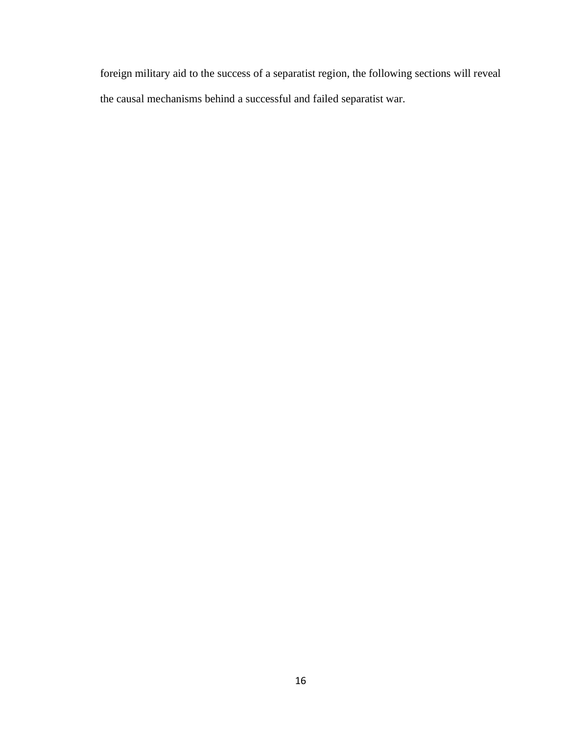foreign military aid to the success of a separatist region, the following sections will reveal the causal mechanisms behind a successful and failed separatist war.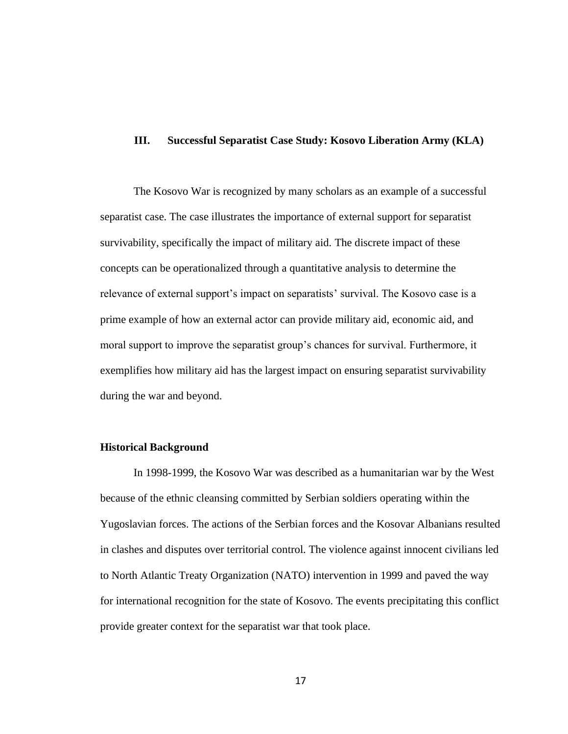## **III. Successful Separatist Case Study: Kosovo Liberation Army (KLA)**

The Kosovo War is recognized by many scholars as an example of a successful separatist case. The case illustrates the importance of external support for separatist survivability, specifically the impact of military aid. The discrete impact of these concepts can be operationalized through a quantitative analysis to determine the relevance of external support's impact on separatists' survival. The Kosovo case is a prime example of how an external actor can provide military aid, economic aid, and moral support to improve the separatist group's chances for survival. Furthermore, it exemplifies how military aid has the largest impact on ensuring separatist survivability during the war and beyond.

### **Historical Background**

In 1998-1999, the Kosovo War was described as a humanitarian war by the West because of the ethnic cleansing committed by Serbian soldiers operating within the Yugoslavian forces. The actions of the Serbian forces and the Kosovar Albanians resulted in clashes and disputes over territorial control. The violence against innocent civilians led to North Atlantic Treaty Organization (NATO) intervention in 1999 and paved the way for international recognition for the state of Kosovo. The events precipitating this conflict provide greater context for the separatist war that took place.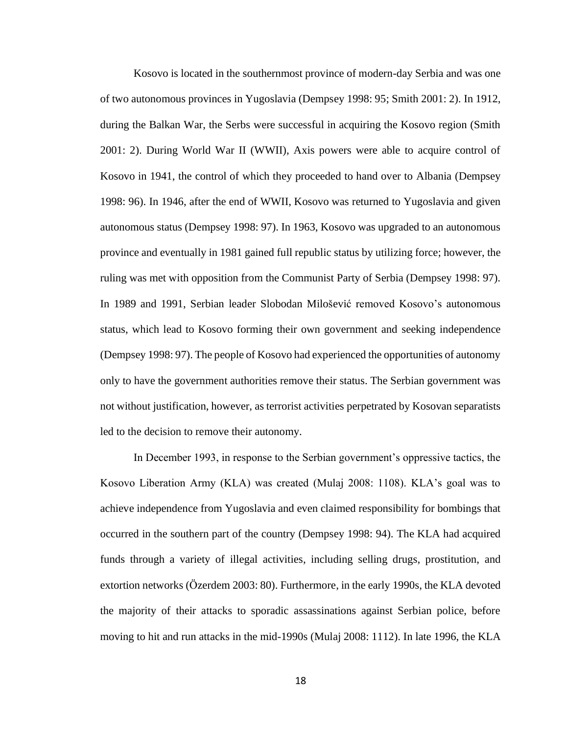Kosovo is located in the southernmost province of modern-day Serbia and was one of two autonomous provinces in Yugoslavia (Dempsey 1998: 95; Smith 2001: 2). In 1912, during the Balkan War, the Serbs were successful in acquiring the Kosovo region (Smith 2001: 2). During World War II (WWII), Axis powers were able to acquire control of Kosovo in 1941, the control of which they proceeded to hand over to Albania (Dempsey 1998: 96). In 1946, after the end of WWII, Kosovo was returned to Yugoslavia and given autonomous status (Dempsey 1998: 97). In 1963, Kosovo was upgraded to an autonomous province and eventually in 1981 gained full republic status by utilizing force; however, the ruling was met with opposition from the Communist Party of Serbia (Dempsey 1998: 97). In 1989 and 1991, Serbian leader Slobodan Milošević removed Kosovo's autonomous status, which lead to Kosovo forming their own government and seeking independence (Dempsey 1998: 97). The people of Kosovo had experienced the opportunities of autonomy only to have the government authorities remove their status. The Serbian government was not without justification, however, as terrorist activities perpetrated by Kosovan separatists led to the decision to remove their autonomy.

In December 1993, in response to the Serbian government's oppressive tactics, the Kosovo Liberation Army (KLA) was created (Mulaj 2008: 1108). KLA's goal was to achieve independence from Yugoslavia and even claimed responsibility for bombings that occurred in the southern part of the country (Dempsey 1998: 94). The KLA had acquired funds through a variety of illegal activities, including selling drugs, prostitution, and extortion networks (Özerdem 2003: 80). Furthermore, in the early 1990s, the KLA devoted the majority of their attacks to sporadic assassinations against Serbian police, before moving to hit and run attacks in the mid-1990s (Mulaj 2008: 1112). In late 1996, the KLA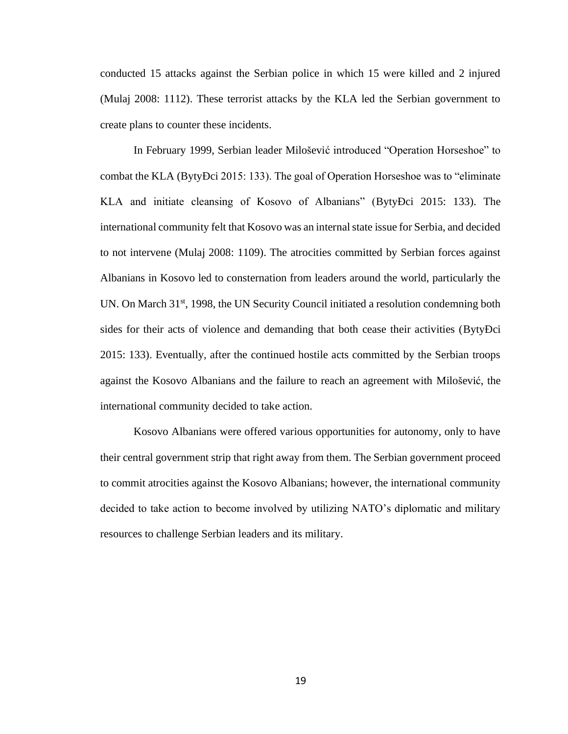conducted 15 attacks against the Serbian police in which 15 were killed and 2 injured (Mulaj 2008: 1112). These terrorist attacks by the KLA led the Serbian government to create plans to counter these incidents.

In February 1999, Serbian leader Milošević introduced "Operation Horseshoe" to combat the KLA (BytyÐci 2015: 133). The goal of Operation Horseshoe was to "eliminate KLA and initiate cleansing of Kosovo of Albanians" (BytyÐci 2015: 133). The international community felt that Kosovo was an internal state issue for Serbia, and decided to not intervene (Mulaj 2008: 1109). The atrocities committed by Serbian forces against Albanians in Kosovo led to consternation from leaders around the world, particularly the UN. On March 31<sup>st</sup>, 1998, the UN Security Council initiated a resolution condemning both sides for their acts of violence and demanding that both cease their activities (BytyÐci 2015: 133). Eventually, after the continued hostile acts committed by the Serbian troops against the Kosovo Albanians and the failure to reach an agreement with Milošević, the international community decided to take action.

Kosovo Albanians were offered various opportunities for autonomy, only to have their central government strip that right away from them. The Serbian government proceed to commit atrocities against the Kosovo Albanians; however, the international community decided to take action to become involved by utilizing NATO's diplomatic and military resources to challenge Serbian leaders and its military.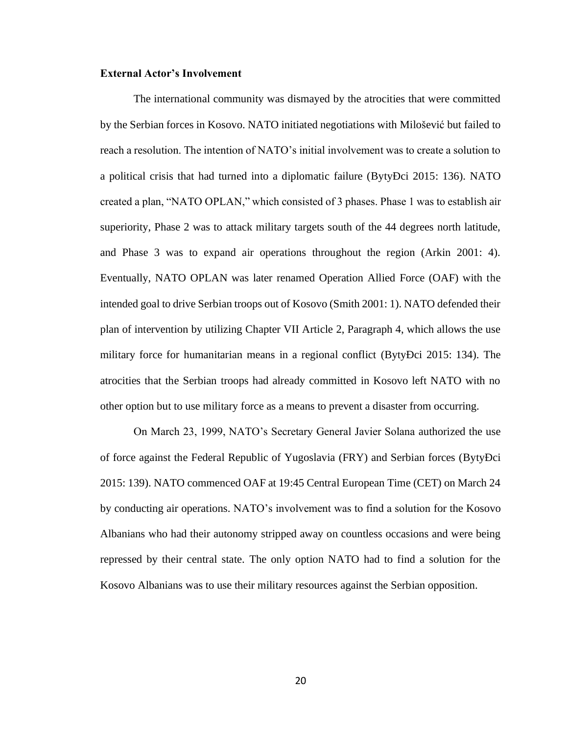#### **External Actor's Involvement**

The international community was dismayed by the atrocities that were committed by the Serbian forces in Kosovo. NATO initiated negotiations with Milošević but failed to reach a resolution. The intention of NATO's initial involvement was to create a solution to a political crisis that had turned into a diplomatic failure (BytyÐci 2015: 136). NATO created a plan, "NATO OPLAN," which consisted of 3 phases. Phase 1 was to establish air superiority, Phase 2 was to attack military targets south of the 44 degrees north latitude, and Phase 3 was to expand air operations throughout the region (Arkin 2001: 4). Eventually, NATO OPLAN was later renamed Operation Allied Force (OAF) with the intended goal to drive Serbian troops out of Kosovo (Smith 2001: 1). NATO defended their plan of intervention by utilizing Chapter VII Article 2, Paragraph 4, which allows the use military force for humanitarian means in a regional conflict (BytyÐci 2015: 134). The atrocities that the Serbian troops had already committed in Kosovo left NATO with no other option but to use military force as a means to prevent a disaster from occurring.

On March 23, 1999, NATO's Secretary General Javier Solana authorized the use of force against the Federal Republic of Yugoslavia (FRY) and Serbian forces (BytyÐci 2015: 139). NATO commenced OAF at 19:45 Central European Time (CET) on March 24 by conducting air operations. NATO's involvement was to find a solution for the Kosovo Albanians who had their autonomy stripped away on countless occasions and were being repressed by their central state. The only option NATO had to find a solution for the Kosovo Albanians was to use their military resources against the Serbian opposition.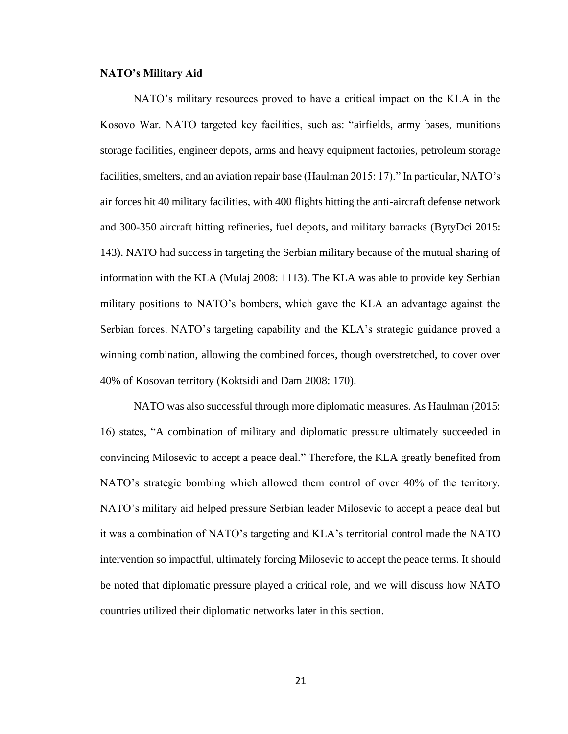#### **NATO's Military Aid**

NATO's military resources proved to have a critical impact on the KLA in the Kosovo War. NATO targeted key facilities, such as: "airfields, army bases, munitions storage facilities, engineer depots, arms and heavy equipment factories, petroleum storage facilities, smelters, and an aviation repair base (Haulman 2015: 17)." In particular, NATO's air forces hit 40 military facilities, with 400 flights hitting the anti-aircraft defense network and 300-350 aircraft hitting refineries, fuel depots, and military barracks (BytyÐci 2015: 143). NATO had success in targeting the Serbian military because of the mutual sharing of information with the KLA (Mulaj 2008: 1113). The KLA was able to provide key Serbian military positions to NATO's bombers, which gave the KLA an advantage against the Serbian forces. NATO's targeting capability and the KLA's strategic guidance proved a winning combination, allowing the combined forces, though overstretched, to cover over 40% of Kosovan territory (Koktsidi and Dam 2008: 170).

NATO was also successful through more diplomatic measures. As Haulman (2015: 16) states, "A combination of military and diplomatic pressure ultimately succeeded in convincing Milosevic to accept a peace deal." Therefore, the KLA greatly benefited from NATO's strategic bombing which allowed them control of over 40% of the territory. NATO's military aid helped pressure Serbian leader Milosevic to accept a peace deal but it was a combination of NATO's targeting and KLA's territorial control made the NATO intervention so impactful, ultimately forcing Milosevic to accept the peace terms. It should be noted that diplomatic pressure played a critical role, and we will discuss how NATO countries utilized their diplomatic networks later in this section.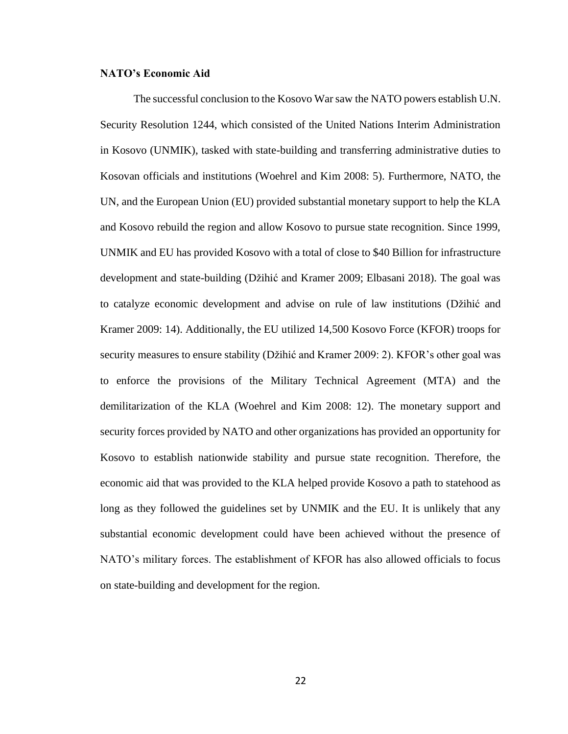## **NATO's Economic Aid**

The successful conclusion to the Kosovo War saw the NATO powers establish U.N. Security Resolution 1244, which consisted of the United Nations Interim Administration in Kosovo (UNMIK), tasked with state-building and transferring administrative duties to Kosovan officials and institutions (Woehrel and Kim 2008: 5). Furthermore, NATO, the UN, and the European Union (EU) provided substantial monetary support to help the KLA and Kosovo rebuild the region and allow Kosovo to pursue state recognition. Since 1999, UNMIK and EU has provided Kosovo with a total of close to \$40 Billion for infrastructure development and state-building (Džihić and Kramer 2009; Elbasani 2018). The goal was to catalyze economic development and advise on rule of law institutions (Džihić and Kramer 2009: 14). Additionally, the EU utilized 14,500 Kosovo Force (KFOR) troops for security measures to ensure stability (Džihić and Kramer 2009: 2). KFOR's other goal was to enforce the provisions of the Military Technical Agreement (MTA) and the demilitarization of the KLA (Woehrel and Kim 2008: 12). The monetary support and security forces provided by NATO and other organizations has provided an opportunity for Kosovo to establish nationwide stability and pursue state recognition. Therefore, the economic aid that was provided to the KLA helped provide Kosovo a path to statehood as long as they followed the guidelines set by UNMIK and the EU. It is unlikely that any substantial economic development could have been achieved without the presence of NATO's military forces. The establishment of KFOR has also allowed officials to focus on state-building and development for the region.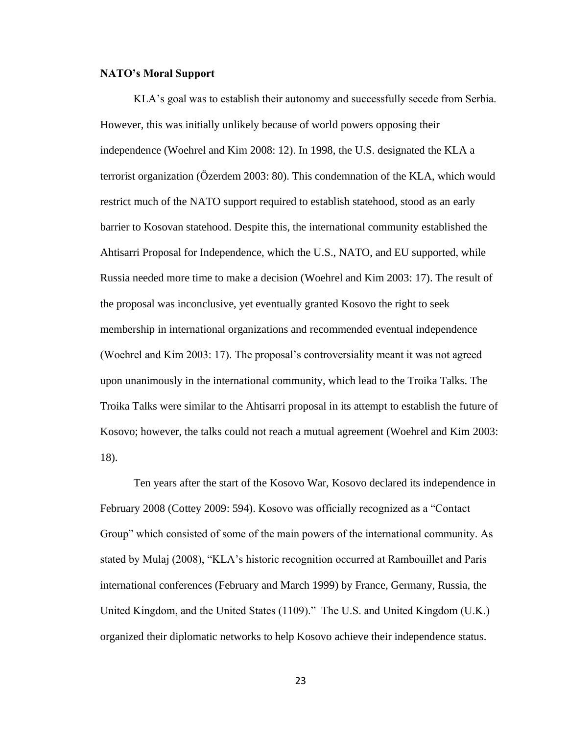#### **NATO's Moral Support**

KLA's goal was to establish their autonomy and successfully secede from Serbia. However, this was initially unlikely because of world powers opposing their independence (Woehrel and Kim 2008: 12). In 1998, the U.S. designated the KLA a terrorist organization (Özerdem 2003: 80). This condemnation of the KLA, which would restrict much of the NATO support required to establish statehood, stood as an early barrier to Kosovan statehood. Despite this, the international community established the Ahtisarri Proposal for Independence, which the U.S., NATO, and EU supported, while Russia needed more time to make a decision (Woehrel and Kim 2003: 17). The result of the proposal was inconclusive, yet eventually granted Kosovo the right to seek membership in international organizations and recommended eventual independence (Woehrel and Kim 2003: 17). The proposal's controversiality meant it was not agreed upon unanimously in the international community, which lead to the Troika Talks. The Troika Talks were similar to the Ahtisarri proposal in its attempt to establish the future of Kosovo; however, the talks could not reach a mutual agreement (Woehrel and Kim 2003: 18).

Ten years after the start of the Kosovo War, Kosovo declared its independence in February 2008 (Cottey 2009: 594). Kosovo was officially recognized as a "Contact Group" which consisted of some of the main powers of the international community. As stated by Mulaj (2008), "KLA's historic recognition occurred at Rambouillet and Paris international conferences (February and March 1999) by France, Germany, Russia, the United Kingdom, and the United States (1109)." The U.S. and United Kingdom (U.K.) organized their diplomatic networks to help Kosovo achieve their independence status.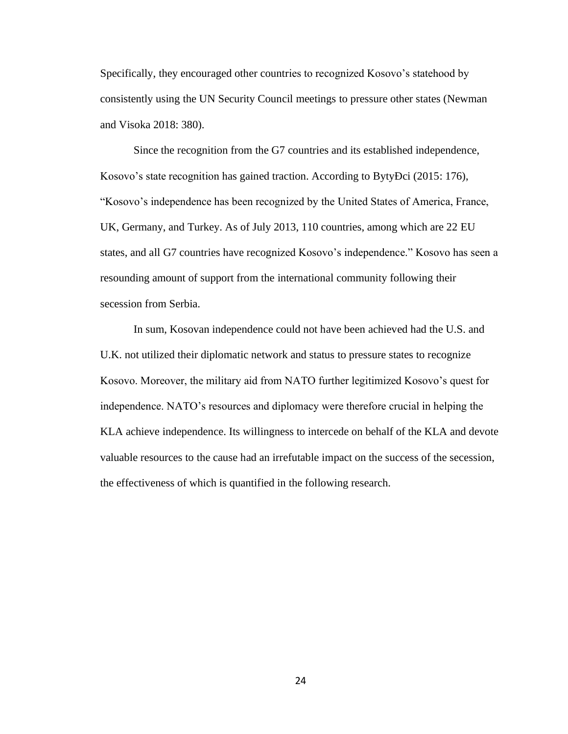Specifically, they encouraged other countries to recognized Kosovo's statehood by consistently using the UN Security Council meetings to pressure other states (Newman and Visoka 2018: 380).

Since the recognition from the G7 countries and its established independence, Kosovo's state recognition has gained traction. According to BytyÐci (2015: 176), "Kosovo's independence has been recognized by the United States of America, France, UK, Germany, and Turkey. As of July 2013, 110 countries, among which are 22 EU states, and all G7 countries have recognized Kosovo's independence." Kosovo has seen a resounding amount of support from the international community following their secession from Serbia.

In sum, Kosovan independence could not have been achieved had the U.S. and U.K. not utilized their diplomatic network and status to pressure states to recognize Kosovo. Moreover, the military aid from NATO further legitimized Kosovo's quest for independence. NATO's resources and diplomacy were therefore crucial in helping the KLA achieve independence. Its willingness to intercede on behalf of the KLA and devote valuable resources to the cause had an irrefutable impact on the success of the secession, the effectiveness of which is quantified in the following research.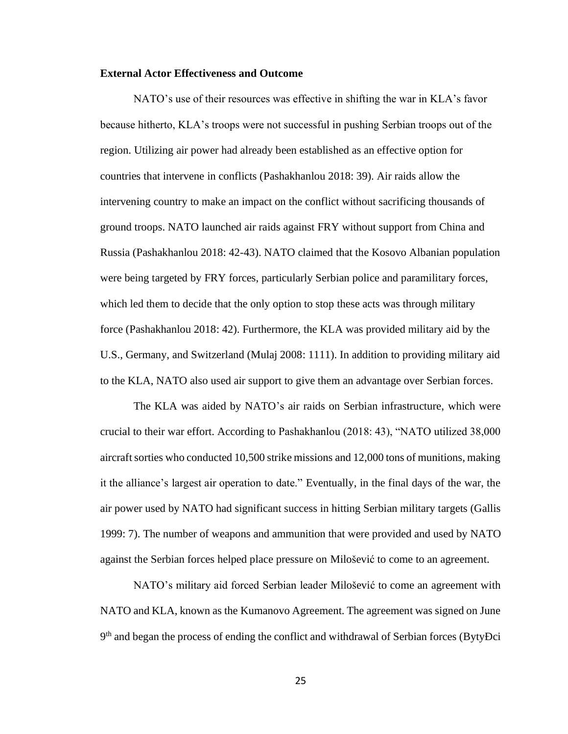## **External Actor Effectiveness and Outcome**

NATO's use of their resources was effective in shifting the war in KLA's favor because hitherto, KLA's troops were not successful in pushing Serbian troops out of the region. Utilizing air power had already been established as an effective option for countries that intervene in conflicts (Pashakhanlou 2018: 39). Air raids allow the intervening country to make an impact on the conflict without sacrificing thousands of ground troops. NATO launched air raids against FRY without support from China and Russia (Pashakhanlou 2018: 42-43). NATO claimed that the Kosovo Albanian population were being targeted by FRY forces, particularly Serbian police and paramilitary forces, which led them to decide that the only option to stop these acts was through military force (Pashakhanlou 2018: 42). Furthermore, the KLA was provided military aid by the U.S., Germany, and Switzerland (Mulaj 2008: 1111). In addition to providing military aid to the KLA, NATO also used air support to give them an advantage over Serbian forces.

The KLA was aided by NATO's air raids on Serbian infrastructure, which were crucial to their war effort. According to Pashakhanlou (2018: 43), "NATO utilized 38,000 aircraft sorties who conducted 10,500 strike missions and 12,000 tons of munitions, making it the alliance's largest air operation to date." Eventually, in the final days of the war, the air power used by NATO had significant success in hitting Serbian military targets (Gallis 1999: 7). The number of weapons and ammunition that were provided and used by NATO against the Serbian forces helped place pressure on Milošević to come to an agreement.

NATO's military aid forced Serbian leader Milošević to come an agreement with NATO and KLA, known as the Kumanovo Agreement. The agreement was signed on June 9<sup>th</sup> and began the process of ending the conflict and withdrawal of Serbian forces (BytyĐci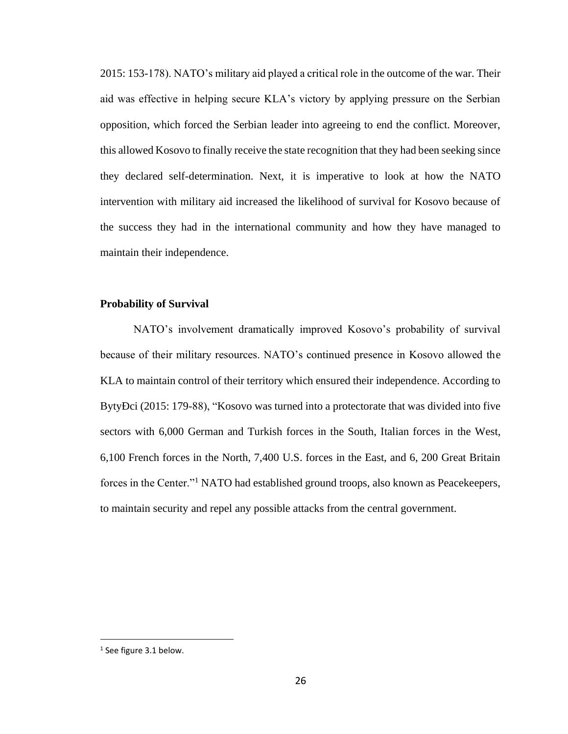2015: 153-178). NATO's military aid played a critical role in the outcome of the war. Their aid was effective in helping secure KLA's victory by applying pressure on the Serbian opposition, which forced the Serbian leader into agreeing to end the conflict. Moreover, this allowed Kosovo to finally receive the state recognition that they had been seeking since they declared self-determination. Next, it is imperative to look at how the NATO intervention with military aid increased the likelihood of survival for Kosovo because of the success they had in the international community and how they have managed to maintain their independence.

## **Probability of Survival**

NATO's involvement dramatically improved Kosovo's probability of survival because of their military resources. NATO's continued presence in Kosovo allowed the KLA to maintain control of their territory which ensured their independence. According to BytyÐci (2015: 179-88), "Kosovo was turned into a protectorate that was divided into five sectors with 6,000 German and Turkish forces in the South, Italian forces in the West, 6,100 French forces in the North, 7,400 U.S. forces in the East, and 6, 200 Great Britain forces in the Center."<sup>1</sup> NATO had established ground troops, also known as Peacekeepers, to maintain security and repel any possible attacks from the central government.

<sup>1</sup> See figure 3.1 below.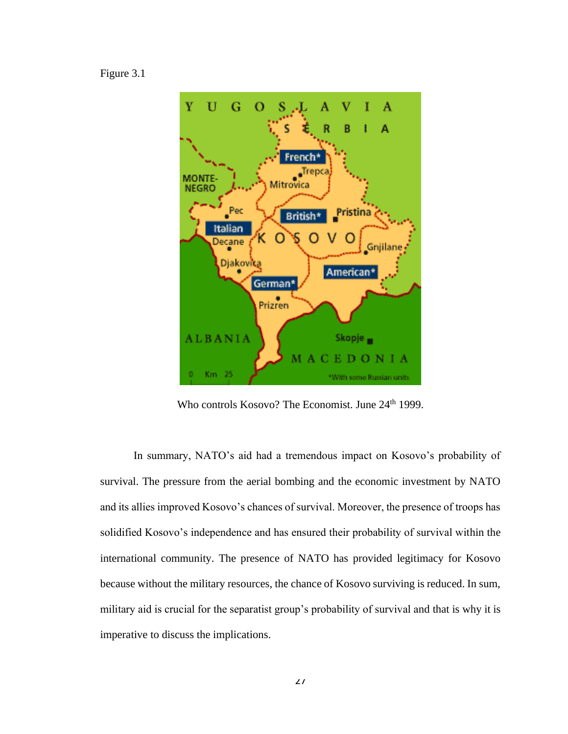Figure 3.1



Who controls Kosovo? The Economist. June 24<sup>th</sup> 1999.

In summary, NATO's aid had a tremendous impact on Kosovo's probability of survival. The pressure from the aerial bombing and the economic investment by NATO and its allies improved Kosovo's chances of survival. Moreover, the presence of troops has solidified Kosovo's independence and has ensured their probability of survival within the international community. The presence of NATO has provided legitimacy for Kosovo because without the military resources, the chance of Kosovo surviving is reduced. In sum, military aid is crucial for the separatist group's probability of survival and that is why it is imperative to discuss the implications.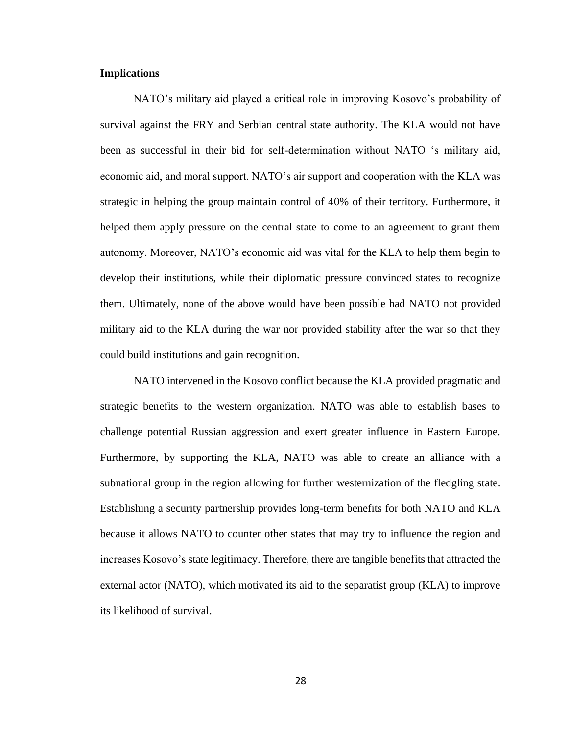# **Implications**

NATO's military aid played a critical role in improving Kosovo's probability of survival against the FRY and Serbian central state authority. The KLA would not have been as successful in their bid for self-determination without NATO 's military aid, economic aid, and moral support. NATO's air support and cooperation with the KLA was strategic in helping the group maintain control of 40% of their territory. Furthermore, it helped them apply pressure on the central state to come to an agreement to grant them autonomy. Moreover, NATO's economic aid was vital for the KLA to help them begin to develop their institutions, while their diplomatic pressure convinced states to recognize them. Ultimately, none of the above would have been possible had NATO not provided military aid to the KLA during the war nor provided stability after the war so that they could build institutions and gain recognition.

NATO intervened in the Kosovo conflict because the KLA provided pragmatic and strategic benefits to the western organization. NATO was able to establish bases to challenge potential Russian aggression and exert greater influence in Eastern Europe. Furthermore, by supporting the KLA, NATO was able to create an alliance with a subnational group in the region allowing for further westernization of the fledgling state. Establishing a security partnership provides long-term benefits for both NATO and KLA because it allows NATO to counter other states that may try to influence the region and increases Kosovo's state legitimacy. Therefore, there are tangible benefits that attracted the external actor (NATO), which motivated its aid to the separatist group (KLA) to improve its likelihood of survival.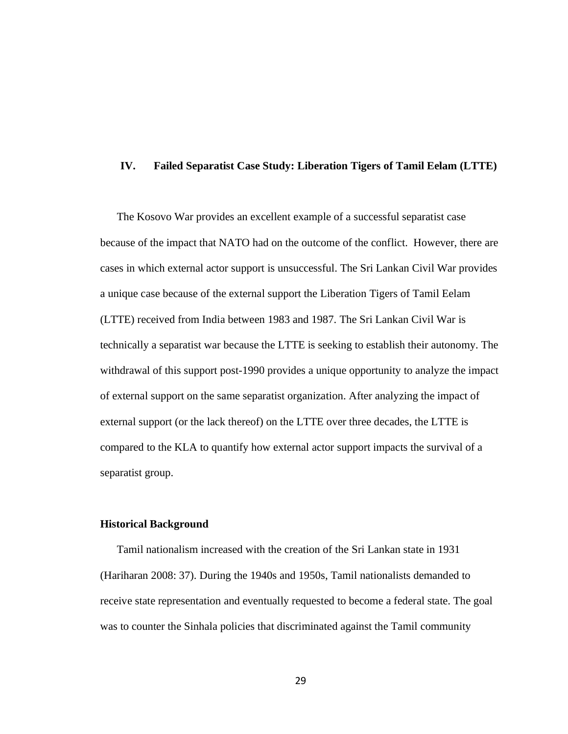## **IV. Failed Separatist Case Study: Liberation Tigers of Tamil Eelam (LTTE)**

The Kosovo War provides an excellent example of a successful separatist case because of the impact that NATO had on the outcome of the conflict. However, there are cases in which external actor support is unsuccessful. The Sri Lankan Civil War provides a unique case because of the external support the Liberation Tigers of Tamil Eelam (LTTE) received from India between 1983 and 1987. The Sri Lankan Civil War is technically a separatist war because the LTTE is seeking to establish their autonomy. The withdrawal of this support post-1990 provides a unique opportunity to analyze the impact of external support on the same separatist organization. After analyzing the impact of external support (or the lack thereof) on the LTTE over three decades, the LTTE is compared to the KLA to quantify how external actor support impacts the survival of a separatist group.

### **Historical Background**

Tamil nationalism increased with the creation of the Sri Lankan state in 1931 (Hariharan 2008: 37). During the 1940s and 1950s, Tamil nationalists demanded to receive state representation and eventually requested to become a federal state. The goal was to counter the Sinhala policies that discriminated against the Tamil community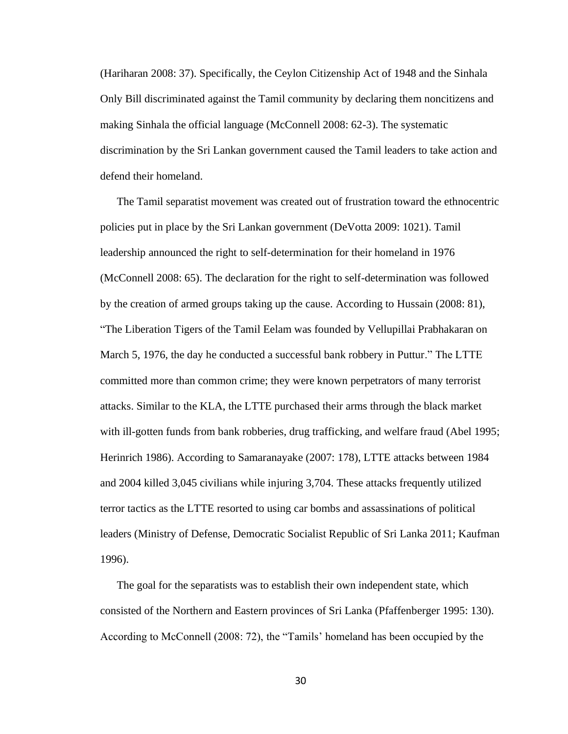(Hariharan 2008: 37). Specifically, the Ceylon Citizenship Act of 1948 and the Sinhala Only Bill discriminated against the Tamil community by declaring them noncitizens and making Sinhala the official language (McConnell 2008: 62-3). The systematic discrimination by the Sri Lankan government caused the Tamil leaders to take action and defend their homeland.

The Tamil separatist movement was created out of frustration toward the ethnocentric policies put in place by the Sri Lankan government (DeVotta 2009: 1021). Tamil leadership announced the right to self-determination for their homeland in 1976 (McConnell 2008: 65). The declaration for the right to self-determination was followed by the creation of armed groups taking up the cause. According to Hussain (2008: 81), "The Liberation Tigers of the Tamil Eelam was founded by Vellupillai Prabhakaran on March 5, 1976, the day he conducted a successful bank robbery in Puttur." The LTTE committed more than common crime; they were known perpetrators of many terrorist attacks. Similar to the KLA, the LTTE purchased their arms through the black market with ill-gotten funds from bank robberies, drug trafficking, and welfare fraud (Abel 1995; Herinrich 1986). According to Samaranayake (2007: 178), LTTE attacks between 1984 and 2004 killed 3,045 civilians while injuring 3,704. These attacks frequently utilized terror tactics as the LTTE resorted to using car bombs and assassinations of political leaders (Ministry of Defense, Democratic Socialist Republic of Sri Lanka 2011; Kaufman 1996).

The goal for the separatists was to establish their own independent state, which consisted of the Northern and Eastern provinces of Sri Lanka (Pfaffenberger 1995: 130). According to McConnell (2008: 72), the "Tamils' homeland has been occupied by the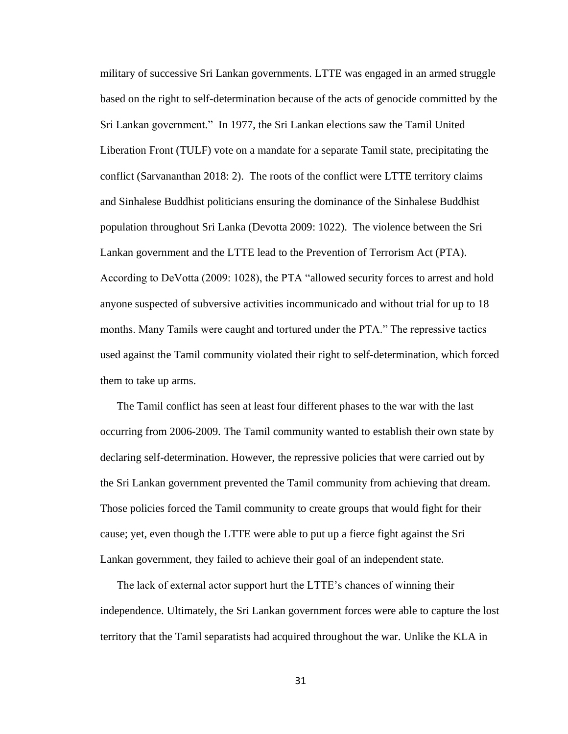military of successive Sri Lankan governments. LTTE was engaged in an armed struggle based on the right to self-determination because of the acts of genocide committed by the Sri Lankan government." In 1977, the Sri Lankan elections saw the Tamil United Liberation Front (TULF) vote on a mandate for a separate Tamil state, precipitating the conflict (Sarvananthan 2018: 2). The roots of the conflict were LTTE territory claims and Sinhalese Buddhist politicians ensuring the dominance of the Sinhalese Buddhist population throughout Sri Lanka (Devotta 2009: 1022). The violence between the Sri Lankan government and the LTTE lead to the Prevention of Terrorism Act (PTA). According to DeVotta (2009: 1028), the PTA "allowed security forces to arrest and hold anyone suspected of subversive activities incommunicado and without trial for up to 18 months. Many Tamils were caught and tortured under the PTA." The repressive tactics used against the Tamil community violated their right to self-determination, which forced them to take up arms.

The Tamil conflict has seen at least four different phases to the war with the last occurring from 2006-2009. The Tamil community wanted to establish their own state by declaring self-determination. However, the repressive policies that were carried out by the Sri Lankan government prevented the Tamil community from achieving that dream. Those policies forced the Tamil community to create groups that would fight for their cause; yet, even though the LTTE were able to put up a fierce fight against the Sri Lankan government, they failed to achieve their goal of an independent state.

The lack of external actor support hurt the LTTE's chances of winning their independence. Ultimately, the Sri Lankan government forces were able to capture the lost territory that the Tamil separatists had acquired throughout the war. Unlike the KLA in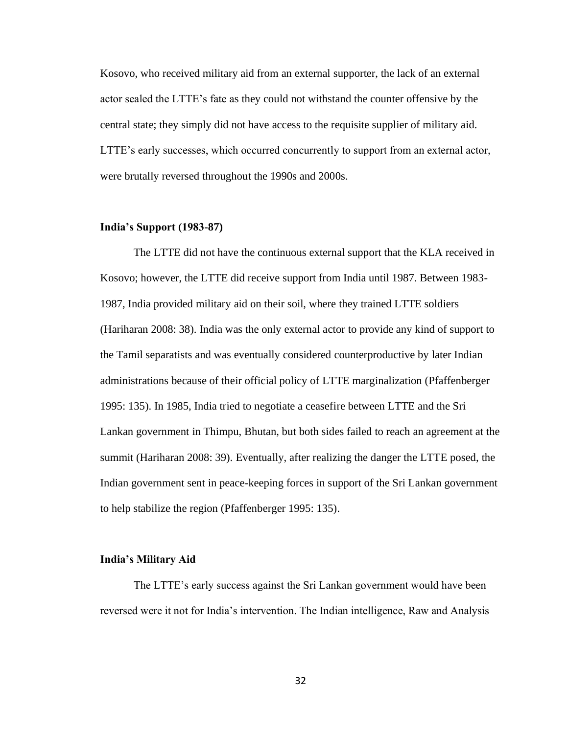Kosovo, who received military aid from an external supporter, the lack of an external actor sealed the LTTE's fate as they could not withstand the counter offensive by the central state; they simply did not have access to the requisite supplier of military aid. LTTE's early successes, which occurred concurrently to support from an external actor, were brutally reversed throughout the 1990s and 2000s.

### **India's Support (1983-87)**

The LTTE did not have the continuous external support that the KLA received in Kosovo; however, the LTTE did receive support from India until 1987. Between 1983- 1987, India provided military aid on their soil, where they trained LTTE soldiers (Hariharan 2008: 38). India was the only external actor to provide any kind of support to the Tamil separatists and was eventually considered counterproductive by later Indian administrations because of their official policy of LTTE marginalization (Pfaffenberger 1995: 135). In 1985, India tried to negotiate a ceasefire between LTTE and the Sri Lankan government in Thimpu, Bhutan, but both sides failed to reach an agreement at the summit (Hariharan 2008: 39). Eventually, after realizing the danger the LTTE posed, the Indian government sent in peace-keeping forces in support of the Sri Lankan government to help stabilize the region (Pfaffenberger 1995: 135).

### **India's Military Aid**

The LTTE's early success against the Sri Lankan government would have been reversed were it not for India's intervention. The Indian intelligence, Raw and Analysis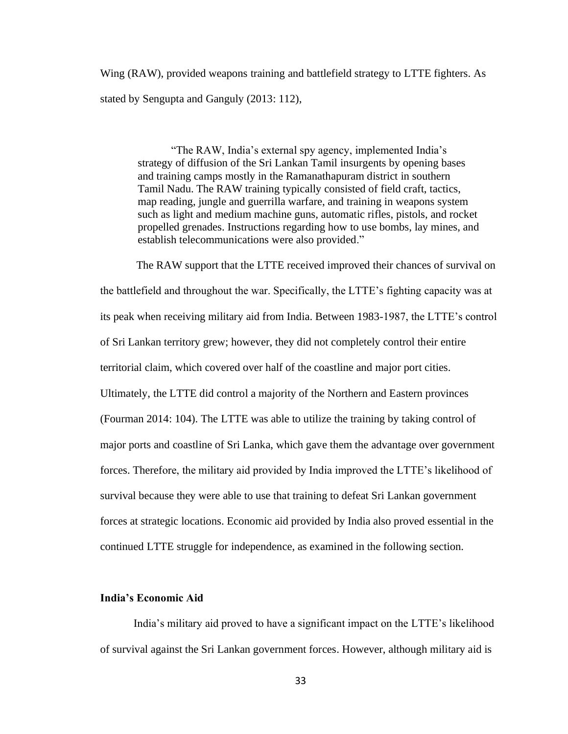Wing (RAW), provided weapons training and battlefield strategy to LTTE fighters. As stated by Sengupta and Ganguly (2013: 112),

"The RAW, India's external spy agency, implemented India's strategy of diffusion of the Sri Lankan Tamil insurgents by opening bases and training camps mostly in the Ramanathapuram district in southern Tamil Nadu. The RAW training typically consisted of field craft, tactics, map reading, jungle and guerrilla warfare, and training in weapons system such as light and medium machine guns, automatic rifles, pistols, and rocket propelled grenades. Instructions regarding how to use bombs, lay mines, and establish telecommunications were also provided."

The RAW support that the LTTE received improved their chances of survival on the battlefield and throughout the war. Specifically, the LTTE's fighting capacity was at its peak when receiving military aid from India. Between 1983-1987, the LTTE's control of Sri Lankan territory grew; however, they did not completely control their entire territorial claim, which covered over half of the coastline and major port cities. Ultimately, the LTTE did control a majority of the Northern and Eastern provinces (Fourman 2014: 104). The LTTE was able to utilize the training by taking control of major ports and coastline of Sri Lanka, which gave them the advantage over government forces. Therefore, the military aid provided by India improved the LTTE's likelihood of survival because they were able to use that training to defeat Sri Lankan government forces at strategic locations. Economic aid provided by India also proved essential in the continued LTTE struggle for independence, as examined in the following section.

# **India's Economic Aid**

India's military aid proved to have a significant impact on the LTTE's likelihood of survival against the Sri Lankan government forces. However, although military aid is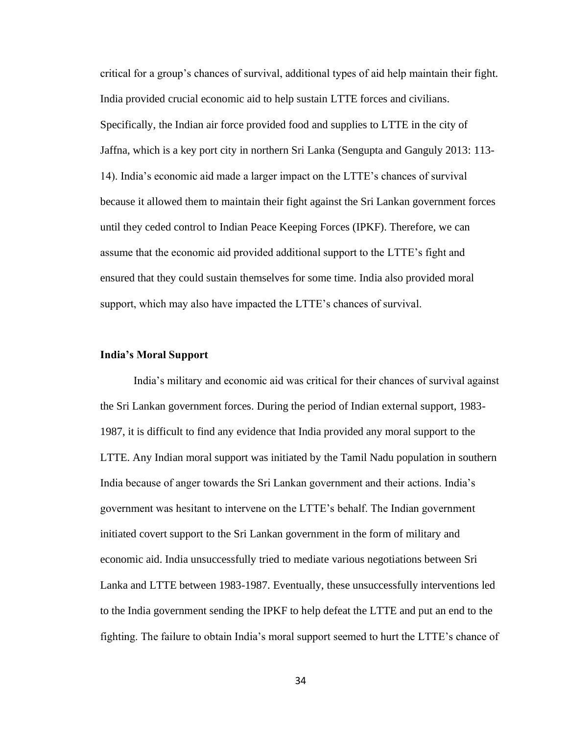critical for a group's chances of survival, additional types of aid help maintain their fight. India provided crucial economic aid to help sustain LTTE forces and civilians. Specifically, the Indian air force provided food and supplies to LTTE in the city of Jaffna, which is a key port city in northern Sri Lanka (Sengupta and Ganguly 2013: 113- 14). India's economic aid made a larger impact on the LTTE's chances of survival because it allowed them to maintain their fight against the Sri Lankan government forces until they ceded control to Indian Peace Keeping Forces (IPKF). Therefore, we can assume that the economic aid provided additional support to the LTTE's fight and ensured that they could sustain themselves for some time. India also provided moral support, which may also have impacted the LTTE's chances of survival.

### **India's Moral Support**

India's military and economic aid was critical for their chances of survival against the Sri Lankan government forces. During the period of Indian external support, 1983- 1987, it is difficult to find any evidence that India provided any moral support to the LTTE. Any Indian moral support was initiated by the Tamil Nadu population in southern India because of anger towards the Sri Lankan government and their actions. India's government was hesitant to intervene on the LTTE's behalf. The Indian government initiated covert support to the Sri Lankan government in the form of military and economic aid. India unsuccessfully tried to mediate various negotiations between Sri Lanka and LTTE between 1983-1987. Eventually, these unsuccessfully interventions led to the India government sending the IPKF to help defeat the LTTE and put an end to the fighting. The failure to obtain India's moral support seemed to hurt the LTTE's chance of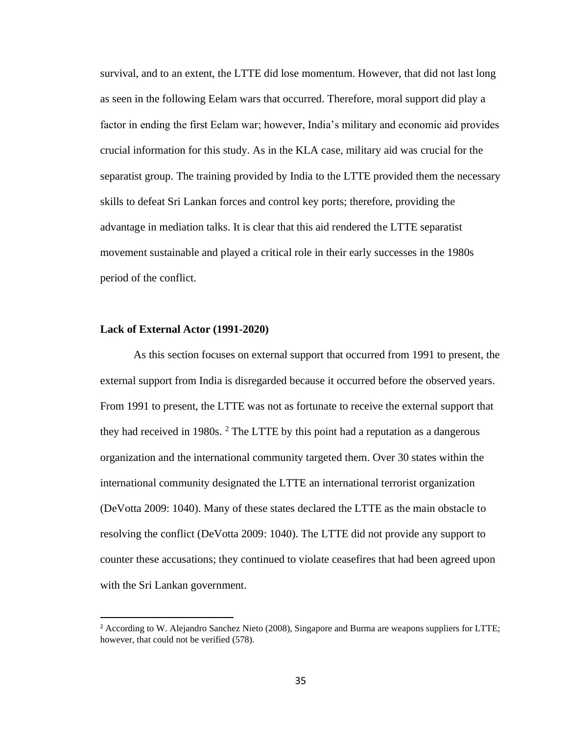survival, and to an extent, the LTTE did lose momentum. However, that did not last long as seen in the following Eelam wars that occurred. Therefore, moral support did play a factor in ending the first Eelam war; however, India's military and economic aid provides crucial information for this study. As in the KLA case, military aid was crucial for the separatist group. The training provided by India to the LTTE provided them the necessary skills to defeat Sri Lankan forces and control key ports; therefore, providing the advantage in mediation talks. It is clear that this aid rendered the LTTE separatist movement sustainable and played a critical role in their early successes in the 1980s period of the conflict.

#### **Lack of External Actor (1991-2020)**

As this section focuses on external support that occurred from 1991 to present, the external support from India is disregarded because it occurred before the observed years. From 1991 to present, the LTTE was not as fortunate to receive the external support that they had received in 1980s. <sup>2</sup> The LTTE by this point had a reputation as a dangerous organization and the international community targeted them. Over 30 states within the international community designated the LTTE an international terrorist organization (DeVotta 2009: 1040). Many of these states declared the LTTE as the main obstacle to resolving the conflict (DeVotta 2009: 1040). The LTTE did not provide any support to counter these accusations; they continued to violate ceasefires that had been agreed upon with the Sri Lankan government.

<sup>&</sup>lt;sup>2</sup> According to W. Alejandro Sanchez Nieto (2008), Singapore and Burma are weapons suppliers for LTTE; however, that could not be verified (578).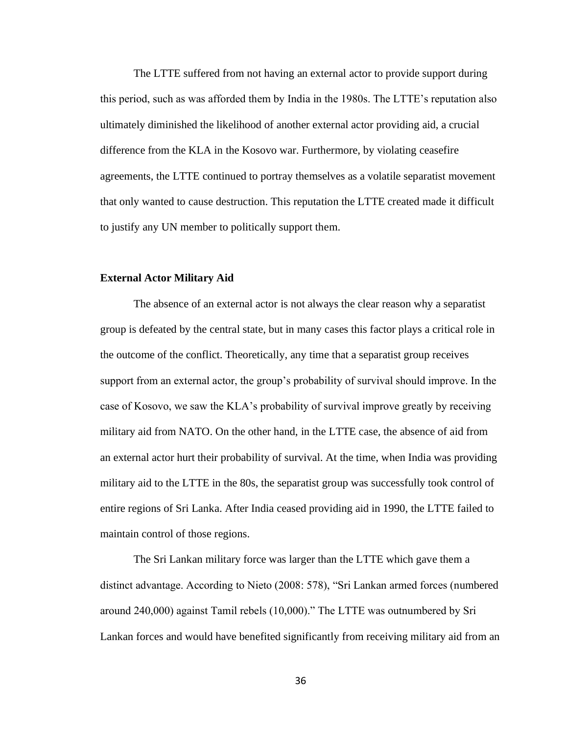The LTTE suffered from not having an external actor to provide support during this period, such as was afforded them by India in the 1980s. The LTTE's reputation also ultimately diminished the likelihood of another external actor providing aid, a crucial difference from the KLA in the Kosovo war. Furthermore, by violating ceasefire agreements, the LTTE continued to portray themselves as a volatile separatist movement that only wanted to cause destruction. This reputation the LTTE created made it difficult to justify any UN member to politically support them.

#### **External Actor Military Aid**

The absence of an external actor is not always the clear reason why a separatist group is defeated by the central state, but in many cases this factor plays a critical role in the outcome of the conflict. Theoretically, any time that a separatist group receives support from an external actor, the group's probability of survival should improve. In the case of Kosovo, we saw the KLA's probability of survival improve greatly by receiving military aid from NATO. On the other hand, in the LTTE case, the absence of aid from an external actor hurt their probability of survival. At the time, when India was providing military aid to the LTTE in the 80s, the separatist group was successfully took control of entire regions of Sri Lanka. After India ceased providing aid in 1990, the LTTE failed to maintain control of those regions.

The Sri Lankan military force was larger than the LTTE which gave them a distinct advantage. According to Nieto (2008: 578), "Sri Lankan armed forces (numbered around 240,000) against Tamil rebels (10,000)." The LTTE was outnumbered by Sri Lankan forces and would have benefited significantly from receiving military aid from an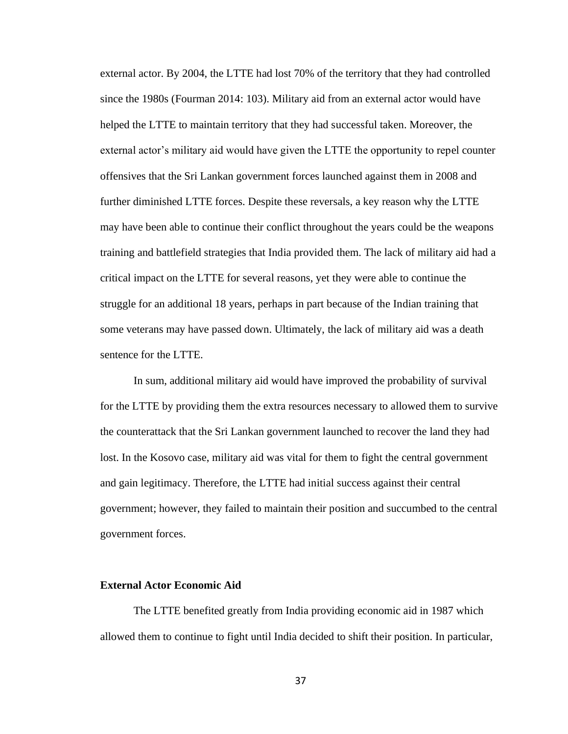external actor. By 2004, the LTTE had lost 70% of the territory that they had controlled since the 1980s (Fourman 2014: 103). Military aid from an external actor would have helped the LTTE to maintain territory that they had successful taken. Moreover, the external actor's military aid would have given the LTTE the opportunity to repel counter offensives that the Sri Lankan government forces launched against them in 2008 and further diminished LTTE forces. Despite these reversals, a key reason why the LTTE may have been able to continue their conflict throughout the years could be the weapons training and battlefield strategies that India provided them. The lack of military aid had a critical impact on the LTTE for several reasons, yet they were able to continue the struggle for an additional 18 years, perhaps in part because of the Indian training that some veterans may have passed down. Ultimately, the lack of military aid was a death sentence for the LTTE.

In sum, additional military aid would have improved the probability of survival for the LTTE by providing them the extra resources necessary to allowed them to survive the counterattack that the Sri Lankan government launched to recover the land they had lost. In the Kosovo case, military aid was vital for them to fight the central government and gain legitimacy. Therefore, the LTTE had initial success against their central government; however, they failed to maintain their position and succumbed to the central government forces.

#### **External Actor Economic Aid**

The LTTE benefited greatly from India providing economic aid in 1987 which allowed them to continue to fight until India decided to shift their position. In particular,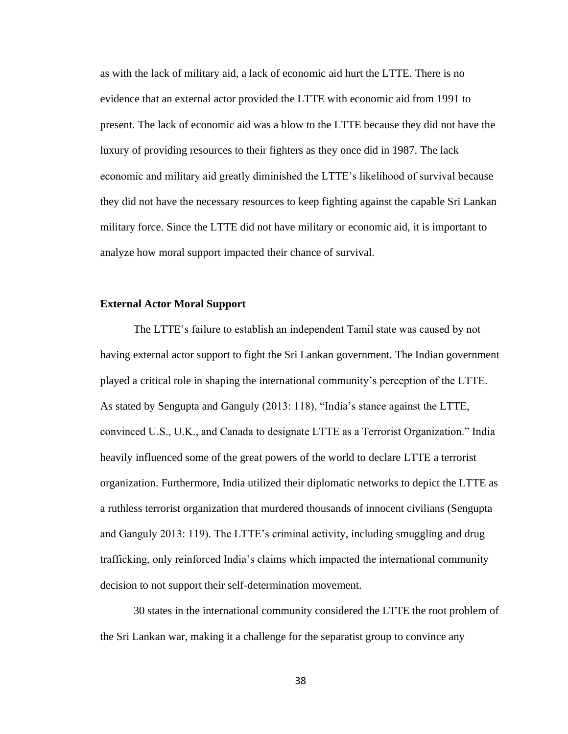as with the lack of military aid, a lack of economic aid hurt the LTTE. There is no evidence that an external actor provided the LTTE with economic aid from 1991 to present. The lack of economic aid was a blow to the LTTE because they did not have the luxury of providing resources to their fighters as they once did in 1987. The lack economic and military aid greatly diminished the LTTE's likelihood of survival because they did not have the necessary resources to keep fighting against the capable Sri Lankan military force. Since the LTTE did not have military or economic aid, it is important to analyze how moral support impacted their chance of survival.

### **External Actor Moral Support**

The LTTE's failure to establish an independent Tamil state was caused by not having external actor support to fight the Sri Lankan government. The Indian government played a critical role in shaping the international community's perception of the LTTE. As stated by Sengupta and Ganguly (2013: 118), "India's stance against the LTTE, convinced U.S., U.K., and Canada to designate LTTE as a Terrorist Organization." India heavily influenced some of the great powers of the world to declare LTTE a terrorist organization. Furthermore, India utilized their diplomatic networks to depict the LTTE as a ruthless terrorist organization that murdered thousands of innocent civilians (Sengupta and Ganguly 2013: 119). The LTTE's criminal activity, including smuggling and drug trafficking, only reinforced India's claims which impacted the international community decision to not support their self-determination movement.

30 states in the international community considered the LTTE the root problem of the Sri Lankan war, making it a challenge for the separatist group to convince any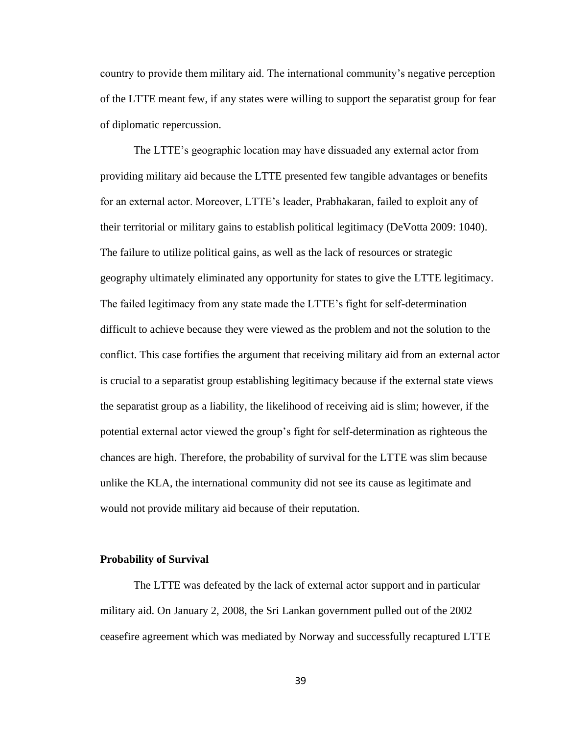country to provide them military aid. The international community's negative perception of the LTTE meant few, if any states were willing to support the separatist group for fear of diplomatic repercussion.

The LTTE's geographic location may have dissuaded any external actor from providing military aid because the LTTE presented few tangible advantages or benefits for an external actor. Moreover, LTTE's leader, Prabhakaran, failed to exploit any of their territorial or military gains to establish political legitimacy (DeVotta 2009: 1040). The failure to utilize political gains, as well as the lack of resources or strategic geography ultimately eliminated any opportunity for states to give the LTTE legitimacy. The failed legitimacy from any state made the LTTE's fight for self-determination difficult to achieve because they were viewed as the problem and not the solution to the conflict. This case fortifies the argument that receiving military aid from an external actor is crucial to a separatist group establishing legitimacy because if the external state views the separatist group as a liability, the likelihood of receiving aid is slim; however, if the potential external actor viewed the group's fight for self-determination as righteous the chances are high. Therefore, the probability of survival for the LTTE was slim because unlike the KLA, the international community did not see its cause as legitimate and would not provide military aid because of their reputation.

### **Probability of Survival**

The LTTE was defeated by the lack of external actor support and in particular military aid. On January 2, 2008, the Sri Lankan government pulled out of the 2002 ceasefire agreement which was mediated by Norway and successfully recaptured LTTE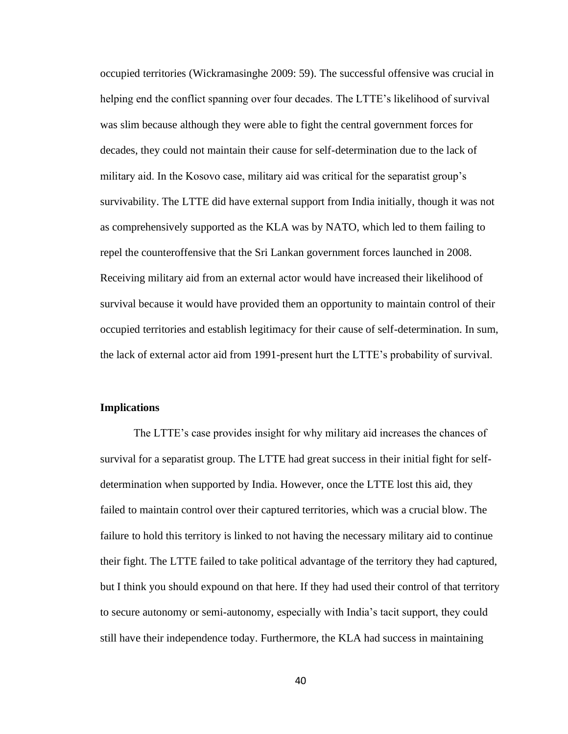occupied territories (Wickramasinghe 2009: 59). The successful offensive was crucial in helping end the conflict spanning over four decades. The LTTE's likelihood of survival was slim because although they were able to fight the central government forces for decades, they could not maintain their cause for self-determination due to the lack of military aid. In the Kosovo case, military aid was critical for the separatist group's survivability. The LTTE did have external support from India initially, though it was not as comprehensively supported as the KLA was by NATO, which led to them failing to repel the counteroffensive that the Sri Lankan government forces launched in 2008. Receiving military aid from an external actor would have increased their likelihood of survival because it would have provided them an opportunity to maintain control of their occupied territories and establish legitimacy for their cause of self-determination. In sum, the lack of external actor aid from 1991-present hurt the LTTE's probability of survival.

# **Implications**

The LTTE's case provides insight for why military aid increases the chances of survival for a separatist group. The LTTE had great success in their initial fight for selfdetermination when supported by India. However, once the LTTE lost this aid, they failed to maintain control over their captured territories, which was a crucial blow. The failure to hold this territory is linked to not having the necessary military aid to continue their fight. The LTTE failed to take political advantage of the territory they had captured, but I think you should expound on that here. If they had used their control of that territory to secure autonomy or semi-autonomy, especially with India's tacit support, they could still have their independence today. Furthermore, the KLA had success in maintaining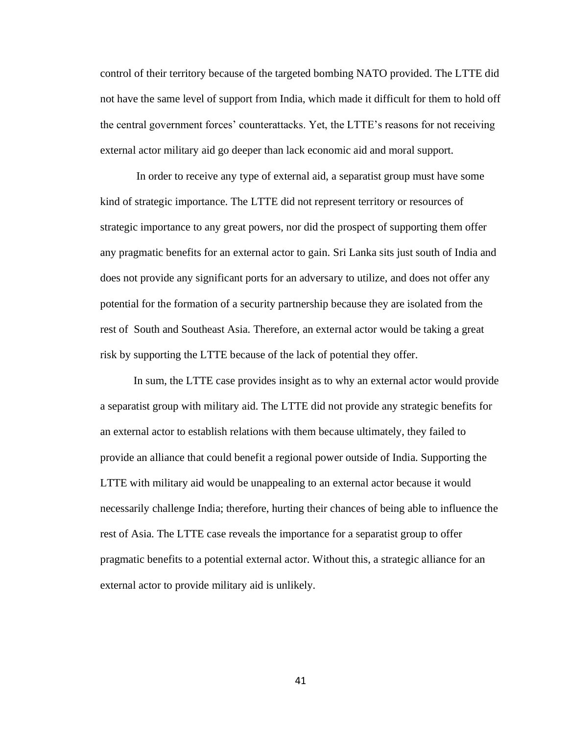control of their territory because of the targeted bombing NATO provided. The LTTE did not have the same level of support from India, which made it difficult for them to hold off the central government forces' counterattacks. Yet, the LTTE's reasons for not receiving external actor military aid go deeper than lack economic aid and moral support.

In order to receive any type of external aid, a separatist group must have some kind of strategic importance. The LTTE did not represent territory or resources of strategic importance to any great powers, nor did the prospect of supporting them offer any pragmatic benefits for an external actor to gain. Sri Lanka sits just south of India and does not provide any significant ports for an adversary to utilize, and does not offer any potential for the formation of a security partnership because they are isolated from the rest of South and Southeast Asia. Therefore, an external actor would be taking a great risk by supporting the LTTE because of the lack of potential they offer.

In sum, the LTTE case provides insight as to why an external actor would provide a separatist group with military aid. The LTTE did not provide any strategic benefits for an external actor to establish relations with them because ultimately, they failed to provide an alliance that could benefit a regional power outside of India. Supporting the LTTE with military aid would be unappealing to an external actor because it would necessarily challenge India; therefore, hurting their chances of being able to influence the rest of Asia. The LTTE case reveals the importance for a separatist group to offer pragmatic benefits to a potential external actor. Without this, a strategic alliance for an external actor to provide military aid is unlikely.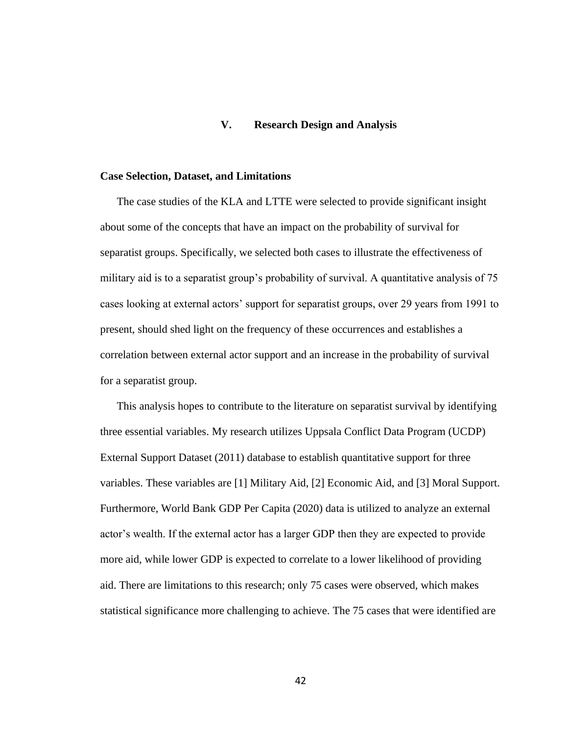# **V. Research Design and Analysis**

#### **Case Selection, Dataset, and Limitations**

The case studies of the KLA and LTTE were selected to provide significant insight about some of the concepts that have an impact on the probability of survival for separatist groups. Specifically, we selected both cases to illustrate the effectiveness of military aid is to a separatist group's probability of survival. A quantitative analysis of 75 cases looking at external actors' support for separatist groups, over 29 years from 1991 to present, should shed light on the frequency of these occurrences and establishes a correlation between external actor support and an increase in the probability of survival for a separatist group.

This analysis hopes to contribute to the literature on separatist survival by identifying three essential variables. My research utilizes Uppsala Conflict Data Program (UCDP) External Support Dataset (2011) database to establish quantitative support for three variables. These variables are [1] Military Aid, [2] Economic Aid, and [3] Moral Support. Furthermore, World Bank GDP Per Capita (2020) data is utilized to analyze an external actor's wealth. If the external actor has a larger GDP then they are expected to provide more aid, while lower GDP is expected to correlate to a lower likelihood of providing aid. There are limitations to this research; only 75 cases were observed, which makes statistical significance more challenging to achieve. The 75 cases that were identified are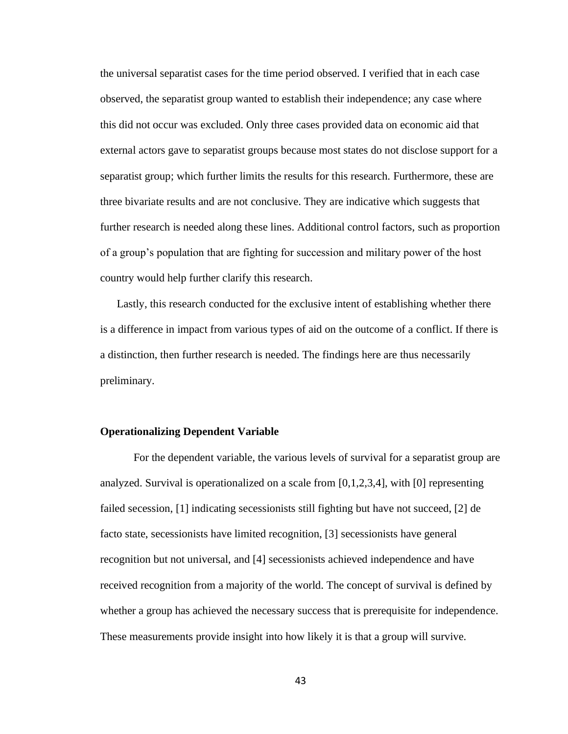the universal separatist cases for the time period observed. I verified that in each case observed, the separatist group wanted to establish their independence; any case where this did not occur was excluded. Only three cases provided data on economic aid that external actors gave to separatist groups because most states do not disclose support for a separatist group; which further limits the results for this research. Furthermore, these are three bivariate results and are not conclusive. They are indicative which suggests that further research is needed along these lines. Additional control factors, such as proportion of a group's population that are fighting for succession and military power of the host country would help further clarify this research.

Lastly, this research conducted for the exclusive intent of establishing whether there is a difference in impact from various types of aid on the outcome of a conflict. If there is a distinction, then further research is needed. The findings here are thus necessarily preliminary.

## **Operationalizing Dependent Variable**

For the dependent variable, the various levels of survival for a separatist group are analyzed. Survival is operationalized on a scale from  $[0,1,2,3,4]$ , with  $[0]$  representing failed secession, [1] indicating secessionists still fighting but have not succeed, [2] de facto state, secessionists have limited recognition, [3] secessionists have general recognition but not universal, and [4] secessionists achieved independence and have received recognition from a majority of the world. The concept of survival is defined by whether a group has achieved the necessary success that is prerequisite for independence. These measurements provide insight into how likely it is that a group will survive.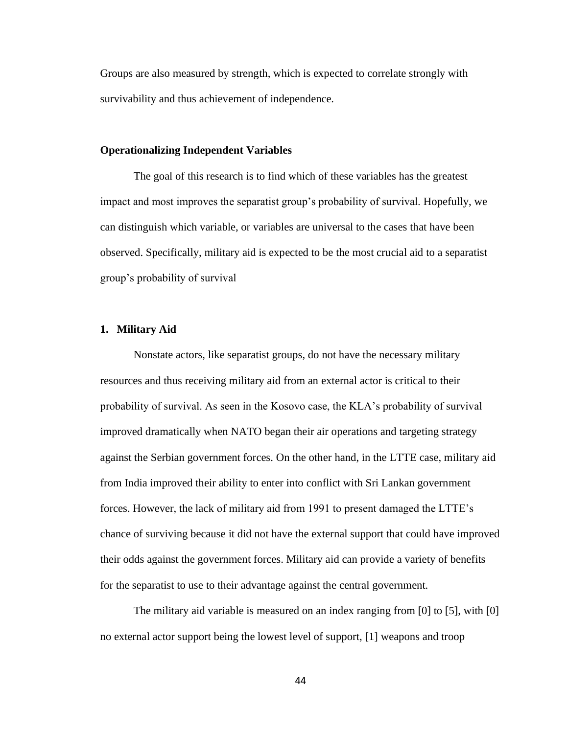Groups are also measured by strength, which is expected to correlate strongly with survivability and thus achievement of independence.

### **Operationalizing Independent Variables**

The goal of this research is to find which of these variables has the greatest impact and most improves the separatist group's probability of survival. Hopefully, we can distinguish which variable, or variables are universal to the cases that have been observed. Specifically, military aid is expected to be the most crucial aid to a separatist group's probability of survival

#### **1. Military Aid**

Nonstate actors, like separatist groups, do not have the necessary military resources and thus receiving military aid from an external actor is critical to their probability of survival. As seen in the Kosovo case, the KLA's probability of survival improved dramatically when NATO began their air operations and targeting strategy against the Serbian government forces. On the other hand, in the LTTE case, military aid from India improved their ability to enter into conflict with Sri Lankan government forces. However, the lack of military aid from 1991 to present damaged the LTTE's chance of surviving because it did not have the external support that could have improved their odds against the government forces. Military aid can provide a variety of benefits for the separatist to use to their advantage against the central government.

The military aid variable is measured on an index ranging from [0] to [5], with [0] no external actor support being the lowest level of support, [1] weapons and troop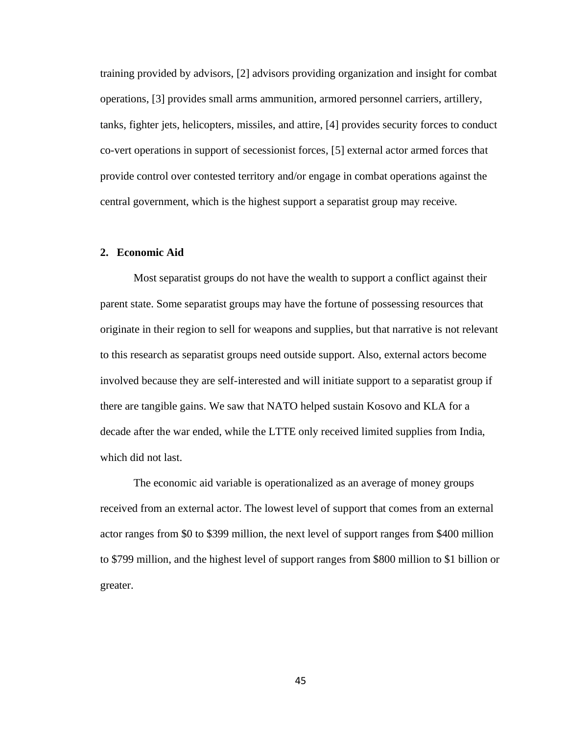training provided by advisors, [2] advisors providing organization and insight for combat operations, [3] provides small arms ammunition, armored personnel carriers, artillery, tanks, fighter jets, helicopters, missiles, and attire, [4] provides security forces to conduct co-vert operations in support of secessionist forces, [5] external actor armed forces that provide control over contested territory and/or engage in combat operations against the central government, which is the highest support a separatist group may receive.

# **2. Economic Aid**

Most separatist groups do not have the wealth to support a conflict against their parent state. Some separatist groups may have the fortune of possessing resources that originate in their region to sell for weapons and supplies, but that narrative is not relevant to this research as separatist groups need outside support. Also, external actors become involved because they are self-interested and will initiate support to a separatist group if there are tangible gains. We saw that NATO helped sustain Kosovo and KLA for a decade after the war ended, while the LTTE only received limited supplies from India, which did not last.

The economic aid variable is operationalized as an average of money groups received from an external actor. The lowest level of support that comes from an external actor ranges from \$0 to \$399 million, the next level of support ranges from \$400 million to \$799 million, and the highest level of support ranges from \$800 million to \$1 billion or greater.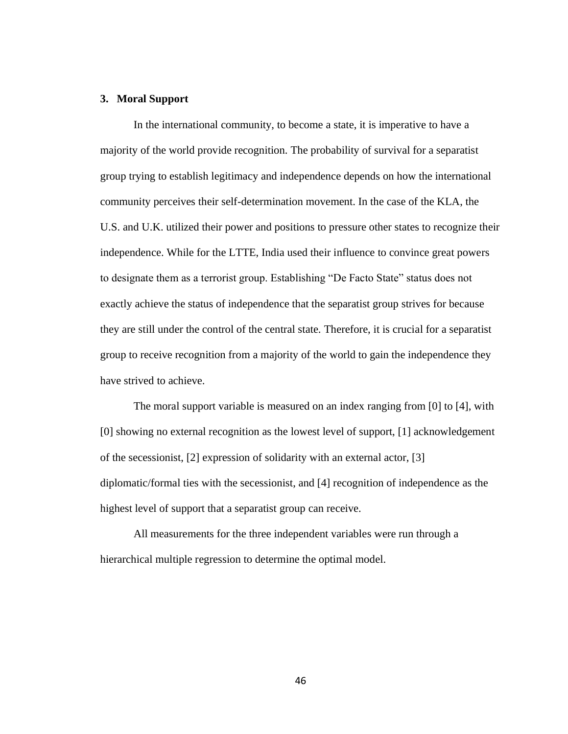## **3. Moral Support**

In the international community, to become a state, it is imperative to have a majority of the world provide recognition. The probability of survival for a separatist group trying to establish legitimacy and independence depends on how the international community perceives their self-determination movement. In the case of the KLA, the U.S. and U.K. utilized their power and positions to pressure other states to recognize their independence. While for the LTTE, India used their influence to convince great powers to designate them as a terrorist group. Establishing "De Facto State" status does not exactly achieve the status of independence that the separatist group strives for because they are still under the control of the central state. Therefore, it is crucial for a separatist group to receive recognition from a majority of the world to gain the independence they have strived to achieve.

The moral support variable is measured on an index ranging from [0] to [4], with [0] showing no external recognition as the lowest level of support, [1] acknowledgement of the secessionist, [2] expression of solidarity with an external actor, [3] diplomatic/formal ties with the secessionist, and [4] recognition of independence as the highest level of support that a separatist group can receive.

All measurements for the three independent variables were run through a hierarchical multiple regression to determine the optimal model.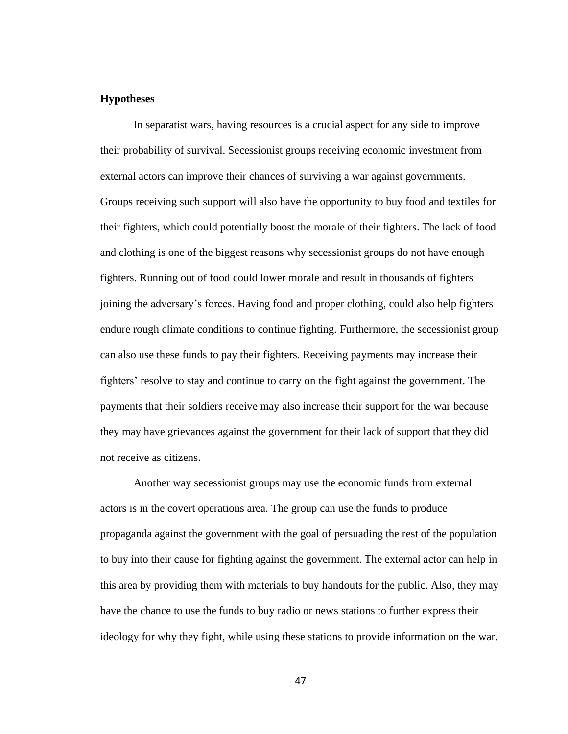# **Hypotheses**

In separatist wars, having resources is a crucial aspect for any side to improve their probability of survival. Secessionist groups receiving economic investment from external actors can improve their chances of surviving a war against governments. Groups receiving such support will also have the opportunity to buy food and textiles for their fighters, which could potentially boost the morale of their fighters. The lack of food and clothing is one of the biggest reasons why secessionist groups do not have enough fighters. Running out of food could lower morale and result in thousands of fighters joining the adversary's forces. Having food and proper clothing, could also help fighters endure rough climate conditions to continue fighting. Furthermore, the secessionist group can also use these funds to pay their fighters. Receiving payments may increase their fighters' resolve to stay and continue to carry on the fight against the government. The payments that their soldiers receive may also increase their support for the war because they may have grievances against the government for their lack of support that they did not receive as citizens.

Another way secessionist groups may use the economic funds from external actors is in the covert operations area. The group can use the funds to produce propaganda against the government with the goal of persuading the rest of the population to buy into their cause for fighting against the government. The external actor can help in this area by providing them with materials to buy handouts for the public. Also, they may have the chance to use the funds to buy radio or news stations to further express their ideology for why they fight, while using these stations to provide information on the war.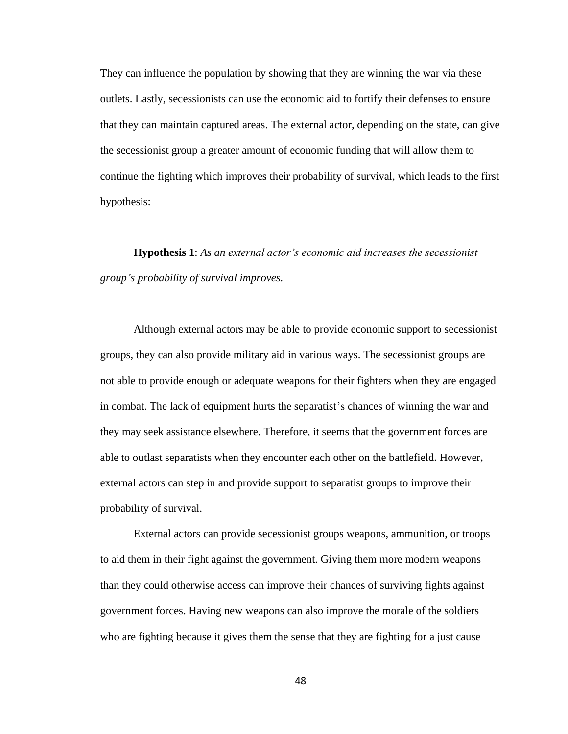They can influence the population by showing that they are winning the war via these outlets. Lastly, secessionists can use the economic aid to fortify their defenses to ensure that they can maintain captured areas. The external actor, depending on the state, can give the secessionist group a greater amount of economic funding that will allow them to continue the fighting which improves their probability of survival, which leads to the first hypothesis:

**Hypothesis 1**: *As an external actor's economic aid increases the secessionist group's probability of survival improves.*

Although external actors may be able to provide economic support to secessionist groups, they can also provide military aid in various ways. The secessionist groups are not able to provide enough or adequate weapons for their fighters when they are engaged in combat. The lack of equipment hurts the separatist's chances of winning the war and they may seek assistance elsewhere. Therefore, it seems that the government forces are able to outlast separatists when they encounter each other on the battlefield. However, external actors can step in and provide support to separatist groups to improve their probability of survival.

External actors can provide secessionist groups weapons, ammunition, or troops to aid them in their fight against the government. Giving them more modern weapons than they could otherwise access can improve their chances of surviving fights against government forces. Having new weapons can also improve the morale of the soldiers who are fighting because it gives them the sense that they are fighting for a just cause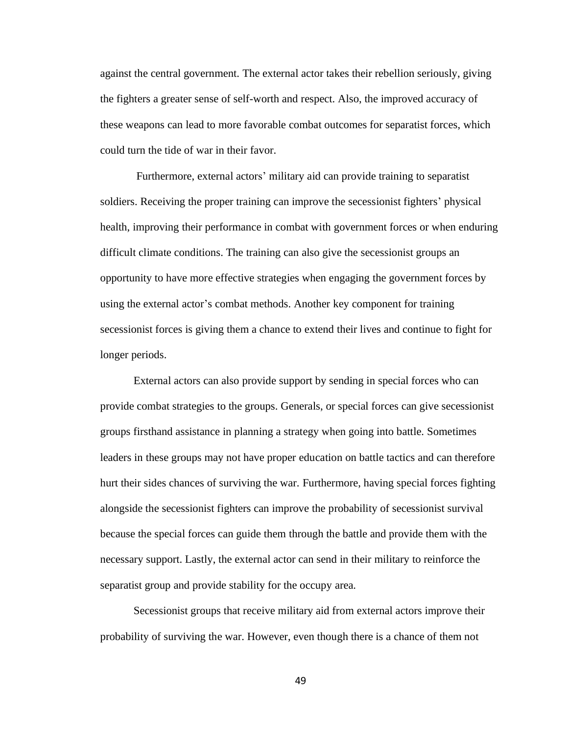against the central government. The external actor takes their rebellion seriously, giving the fighters a greater sense of self-worth and respect. Also, the improved accuracy of these weapons can lead to more favorable combat outcomes for separatist forces, which could turn the tide of war in their favor.

Furthermore, external actors' military aid can provide training to separatist soldiers. Receiving the proper training can improve the secessionist fighters' physical health, improving their performance in combat with government forces or when enduring difficult climate conditions. The training can also give the secessionist groups an opportunity to have more effective strategies when engaging the government forces by using the external actor's combat methods. Another key component for training secessionist forces is giving them a chance to extend their lives and continue to fight for longer periods.

External actors can also provide support by sending in special forces who can provide combat strategies to the groups. Generals, or special forces can give secessionist groups firsthand assistance in planning a strategy when going into battle. Sometimes leaders in these groups may not have proper education on battle tactics and can therefore hurt their sides chances of surviving the war. Furthermore, having special forces fighting alongside the secessionist fighters can improve the probability of secessionist survival because the special forces can guide them through the battle and provide them with the necessary support. Lastly, the external actor can send in their military to reinforce the separatist group and provide stability for the occupy area.

Secessionist groups that receive military aid from external actors improve their probability of surviving the war. However, even though there is a chance of them not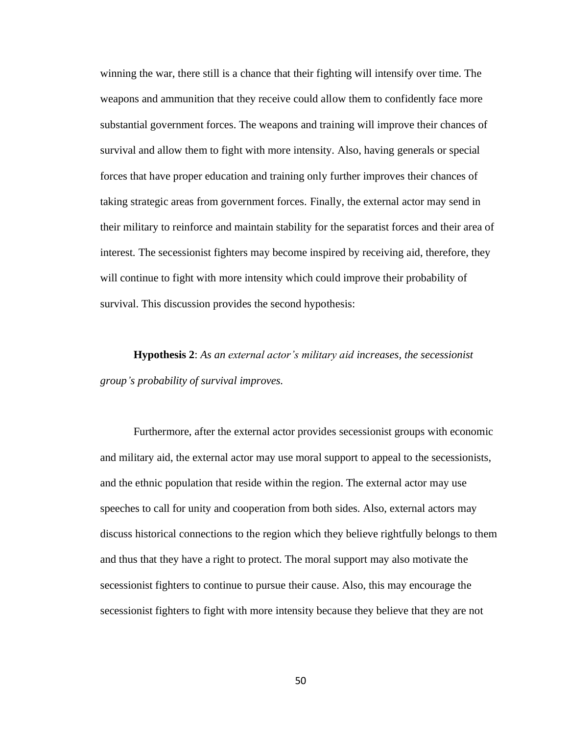winning the war, there still is a chance that their fighting will intensify over time. The weapons and ammunition that they receive could allow them to confidently face more substantial government forces. The weapons and training will improve their chances of survival and allow them to fight with more intensity. Also, having generals or special forces that have proper education and training only further improves their chances of taking strategic areas from government forces. Finally, the external actor may send in their military to reinforce and maintain stability for the separatist forces and their area of interest. The secessionist fighters may become inspired by receiving aid, therefore, they will continue to fight with more intensity which could improve their probability of survival. This discussion provides the second hypothesis:

**Hypothesis 2**: *As an external actor's military aid increases, the secessionist group's probability of survival improves.*

Furthermore, after the external actor provides secessionist groups with economic and military aid, the external actor may use moral support to appeal to the secessionists, and the ethnic population that reside within the region. The external actor may use speeches to call for unity and cooperation from both sides. Also, external actors may discuss historical connections to the region which they believe rightfully belongs to them and thus that they have a right to protect. The moral support may also motivate the secessionist fighters to continue to pursue their cause. Also, this may encourage the secessionist fighters to fight with more intensity because they believe that they are not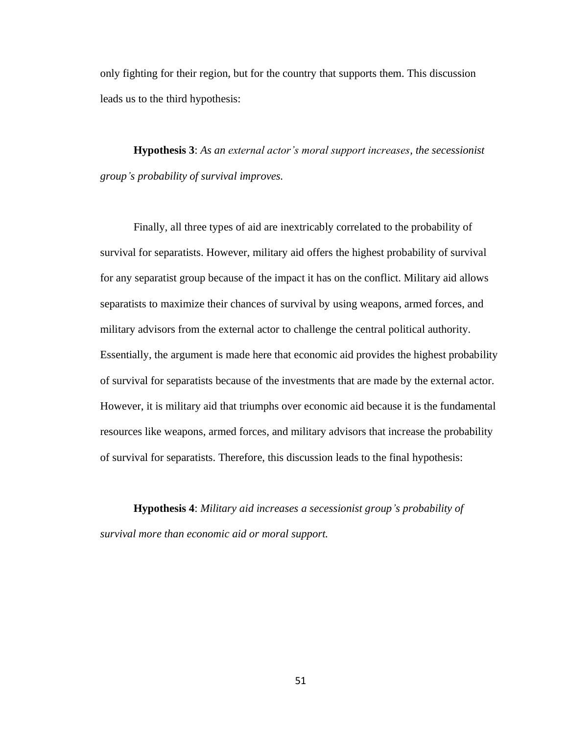only fighting for their region, but for the country that supports them. This discussion leads us to the third hypothesis:

**Hypothesis 3**: *As an external actor's moral support increases, the secessionist group's probability of survival improves.*

Finally, all three types of aid are inextricably correlated to the probability of survival for separatists. However, military aid offers the highest probability of survival for any separatist group because of the impact it has on the conflict. Military aid allows separatists to maximize their chances of survival by using weapons, armed forces, and military advisors from the external actor to challenge the central political authority. Essentially, the argument is made here that economic aid provides the highest probability of survival for separatists because of the investments that are made by the external actor. However, it is military aid that triumphs over economic aid because it is the fundamental resources like weapons, armed forces, and military advisors that increase the probability of survival for separatists. Therefore, this discussion leads to the final hypothesis:

**Hypothesis 4**: *Military aid increases a secessionist group's probability of survival more than economic aid or moral support.*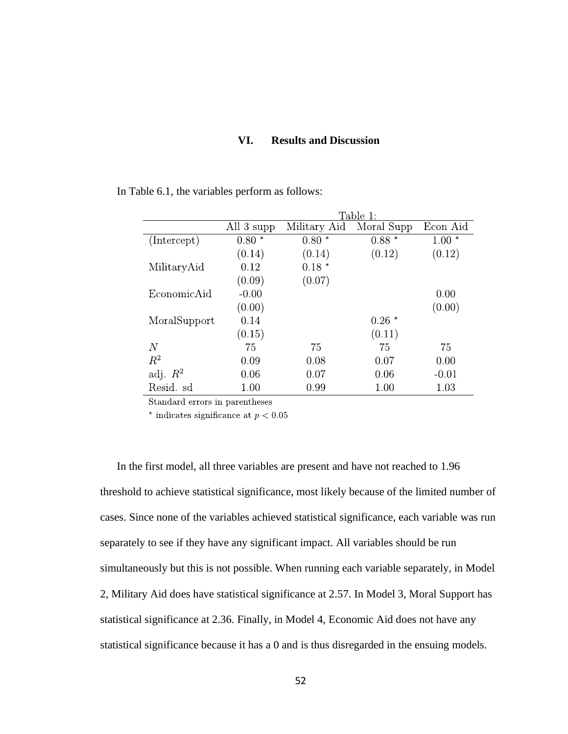# **VI. Results and Discussion**

|                  | Table 1:       |              |            |           |  |
|------------------|----------------|--------------|------------|-----------|--|
|                  | All 3 supp     | Military Aid | Moral Supp | Econ Aid  |  |
| (Intercept)      | 0.80<br>$\ast$ | $0.80*$      | $0.88*$    | 1.00<br>∗ |  |
|                  | (0.14)         | (0.14)       | (0.12)     | (0.12)    |  |
| MilitaryAid      | 0.12           | $0.18*$      |            |           |  |
|                  | (0.09)         | (0.07)       |            |           |  |
| EconomicAid      | $-0.00$        |              |            | 0.00      |  |
|                  | (0.00)         |              |            | (0.00)    |  |
| MoralSupport     | 0.14           |              | 0.26<br>∗  |           |  |
|                  | (0.15)         |              | (0.11)     |           |  |
| $\boldsymbol{N}$ | 75             | 75           | 75         | 75        |  |
| $R^2$            | 0.09           | 0.08         | 0.07       | 0.00      |  |
| adj. $R^2$       | 0.06           | 0.07         | 0.06       | $-0.01$   |  |
| Resid. sd        | $1.00\,$       | 0.99         | $1.00\,$   | 1.03      |  |

In Table 6.1, the variables perform as follows:

Standard errors in parentheses

\* indicates significance at  $p < 0.05$ 

In the first model, all three variables are present and have not reached to 1.96 threshold to achieve statistical significance, most likely because of the limited number of cases. Since none of the variables achieved statistical significance, each variable was run separately to see if they have any significant impact. All variables should be run simultaneously but this is not possible. When running each variable separately, in Model 2, Military Aid does have statistical significance at 2.57. In Model 3, Moral Support has statistical significance at 2.36. Finally, in Model 4, Economic Aid does not have any statistical significance because it has a 0 and is thus disregarded in the ensuing models.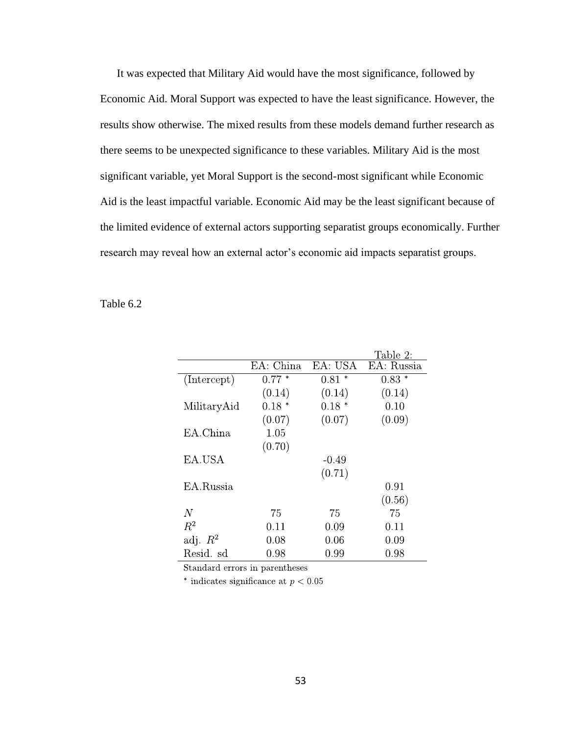It was expected that Military Aid would have the most significance, followed by Economic Aid. Moral Support was expected to have the least significance. However, the results show otherwise. The mixed results from these models demand further research as there seems to be unexpected significance to these variables. Military Aid is the most significant variable, yet Moral Support is the second-most significant while Economic Aid is the least impactful variable. Economic Aid may be the least significant because of the limited evidence of external actors supporting separatist groups economically. Further research may reveal how an external actor's economic aid impacts separatist groups.

Table 6.2

|             |           |         | Table 2:   |
|-------------|-----------|---------|------------|
|             | EA: China | EA: USA | EA: Russia |
| (Intercept) | $0.77*$   | $0.81*$ | $0.83*$    |
|             | (0.14)    | (0.14)  | (0.14)     |
| MilitaryAid | $0.18*$   | $0.18*$ | 0.10       |
|             | (0.07)    | (0.07)  | (0.09)     |
| EA.China    | 1.05      |         |            |
|             | (0.70)    |         |            |
| EA.USA      |           | $-0.49$ |            |
|             |           | (0.71)  |            |
| EA.Russia   |           |         | 0.91       |
|             |           |         | (0.56)     |
| N           | 75        | 75      | 75         |
| $R^2$       | 0.11      | 0.09    | 0.11       |
| adj. $R^2$  | 0.08      | 0.06    | 0.09       |
| Resid. sd   | 0.98      | 0.99    | 0.98       |

Standard errors in parentheses

\* indicates significance at  $p < 0.05$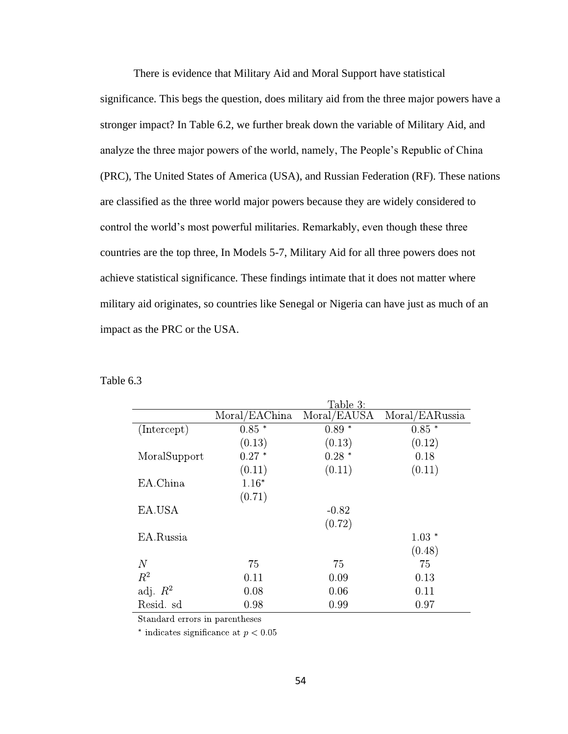There is evidence that Military Aid and Moral Support have statistical significance. This begs the question, does military aid from the three major powers have a stronger impact? In Table 6.2, we further break down the variable of Military Aid, and analyze the three major powers of the world, namely, The People's Republic of China (PRC), The United States of America (USA), and Russian Federation (RF). These nations are classified as the three world major powers because they are widely considered to control the world's most powerful militaries. Remarkably, even though these three countries are the top three, In Models 5-7, Military Aid for all three powers does not achieve statistical significance. These findings intimate that it does not matter where military aid originates, so countries like Senegal or Nigeria can have just as much of an impact as the PRC or the USA.

Table 6.3

|               | Table 3:    |                |
|---------------|-------------|----------------|
| Moral/EAChina | Moral/EAUSA | Moral/EARussia |
| $0.85*$       | $0.89*$     | $0.85*$        |
| (0.13)        | (0.13)      | (0.12)         |
| $0.27*$       | $0.28*$     | 0.18           |
| (0.11)        | (0.11)      | (0.11)         |
| $1.16*$       |             |                |
| (0.71)        |             |                |
|               | $-0.82$     |                |
|               | (0.72)      |                |
|               |             | $1.03*$        |
|               |             | (0.48)         |
| 75            | 75          | 75             |
| 0.11          | 0.09        | 0.13           |
| 0.08          | 0.06        | 0.11           |
| 0.98          | 0.99        | 0.97           |
|               |             |                |

Standard errors in parentheses

\* indicates significance at  $p < 0.05$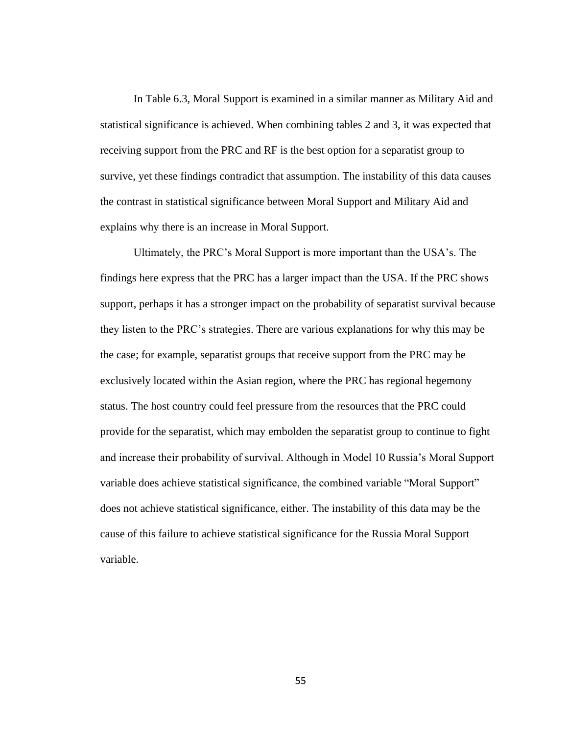In Table 6.3, Moral Support is examined in a similar manner as Military Aid and statistical significance is achieved. When combining tables 2 and 3, it was expected that receiving support from the PRC and RF is the best option for a separatist group to survive, yet these findings contradict that assumption. The instability of this data causes the contrast in statistical significance between Moral Support and Military Aid and explains why there is an increase in Moral Support.

Ultimately, the PRC's Moral Support is more important than the USA's. The findings here express that the PRC has a larger impact than the USA. If the PRC shows support, perhaps it has a stronger impact on the probability of separatist survival because they listen to the PRC's strategies. There are various explanations for why this may be the case; for example, separatist groups that receive support from the PRC may be exclusively located within the Asian region, where the PRC has regional hegemony status. The host country could feel pressure from the resources that the PRC could provide for the separatist, which may embolden the separatist group to continue to fight and increase their probability of survival. Although in Model 10 Russia's Moral Support variable does achieve statistical significance, the combined variable "Moral Support" does not achieve statistical significance, either. The instability of this data may be the cause of this failure to achieve statistical significance for the Russia Moral Support variable.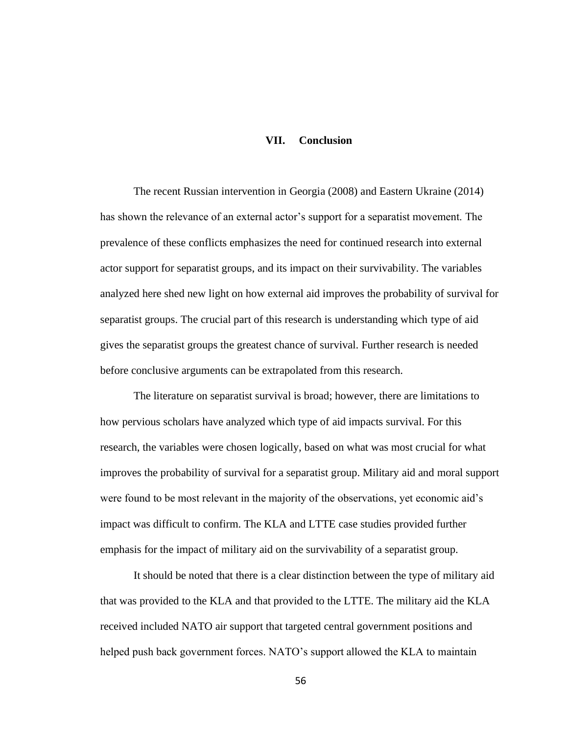## **VII. Conclusion**

The recent Russian intervention in Georgia (2008) and Eastern Ukraine (2014) has shown the relevance of an external actor's support for a separatist movement. The prevalence of these conflicts emphasizes the need for continued research into external actor support for separatist groups, and its impact on their survivability. The variables analyzed here shed new light on how external aid improves the probability of survival for separatist groups. The crucial part of this research is understanding which type of aid gives the separatist groups the greatest chance of survival. Further research is needed before conclusive arguments can be extrapolated from this research.

The literature on separatist survival is broad; however, there are limitations to how pervious scholars have analyzed which type of aid impacts survival. For this research, the variables were chosen logically, based on what was most crucial for what improves the probability of survival for a separatist group. Military aid and moral support were found to be most relevant in the majority of the observations, yet economic aid's impact was difficult to confirm. The KLA and LTTE case studies provided further emphasis for the impact of military aid on the survivability of a separatist group.

It should be noted that there is a clear distinction between the type of military aid that was provided to the KLA and that provided to the LTTE. The military aid the KLA received included NATO air support that targeted central government positions and helped push back government forces. NATO's support allowed the KLA to maintain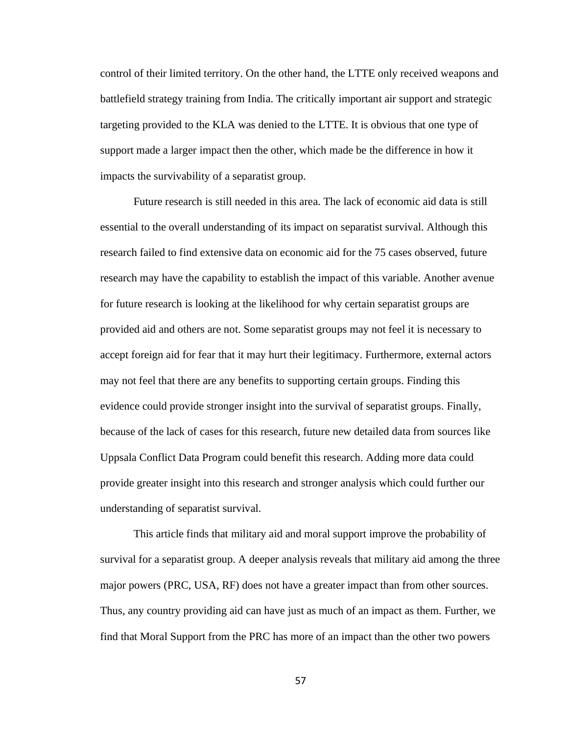control of their limited territory. On the other hand, the LTTE only received weapons and battlefield strategy training from India. The critically important air support and strategic targeting provided to the KLA was denied to the LTTE. It is obvious that one type of support made a larger impact then the other, which made be the difference in how it impacts the survivability of a separatist group.

Future research is still needed in this area. The lack of economic aid data is still essential to the overall understanding of its impact on separatist survival. Although this research failed to find extensive data on economic aid for the 75 cases observed, future research may have the capability to establish the impact of this variable. Another avenue for future research is looking at the likelihood for why certain separatist groups are provided aid and others are not. Some separatist groups may not feel it is necessary to accept foreign aid for fear that it may hurt their legitimacy. Furthermore, external actors may not feel that there are any benefits to supporting certain groups. Finding this evidence could provide stronger insight into the survival of separatist groups. Finally, because of the lack of cases for this research, future new detailed data from sources like Uppsala Conflict Data Program could benefit this research. Adding more data could provide greater insight into this research and stronger analysis which could further our understanding of separatist survival.

This article finds that military aid and moral support improve the probability of survival for a separatist group. A deeper analysis reveals that military aid among the three major powers (PRC, USA, RF) does not have a greater impact than from other sources. Thus, any country providing aid can have just as much of an impact as them. Further, we find that Moral Support from the PRC has more of an impact than the other two powers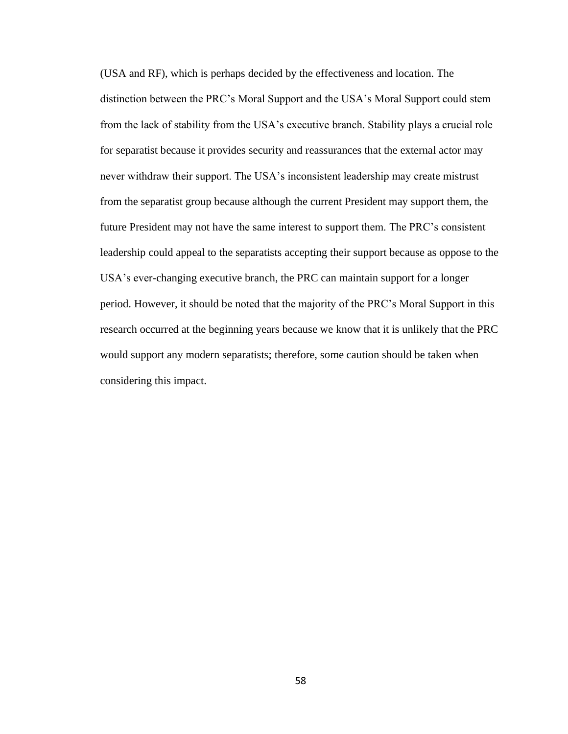(USA and RF), which is perhaps decided by the effectiveness and location. The distinction between the PRC's Moral Support and the USA's Moral Support could stem from the lack of stability from the USA's executive branch. Stability plays a crucial role for separatist because it provides security and reassurances that the external actor may never withdraw their support. The USA's inconsistent leadership may create mistrust from the separatist group because although the current President may support them, the future President may not have the same interest to support them. The PRC's consistent leadership could appeal to the separatists accepting their support because as oppose to the USA's ever-changing executive branch, the PRC can maintain support for a longer period. However, it should be noted that the majority of the PRC's Moral Support in this research occurred at the beginning years because we know that it is unlikely that the PRC would support any modern separatists; therefore, some caution should be taken when considering this impact.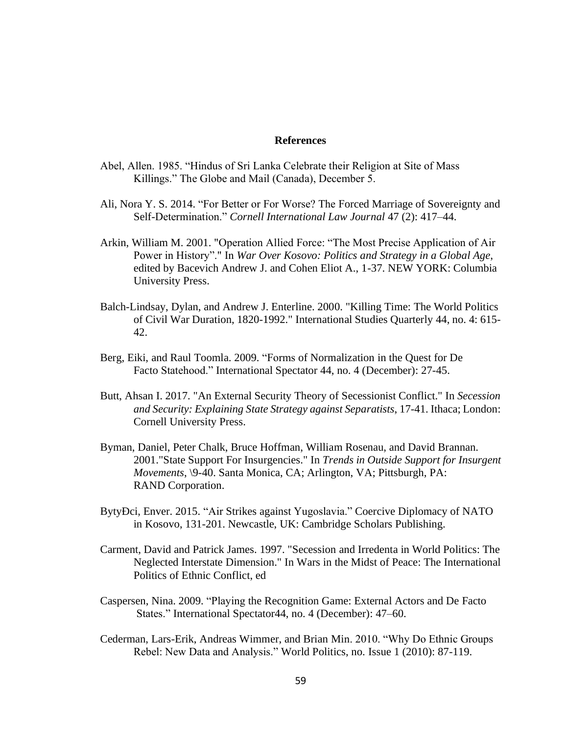## **References**

- Abel, Allen. 1985. "Hindus of Sri Lanka Celebrate their Religion at Site of Mass Killings." The Globe and Mail (Canada), December 5.
- Ali, Nora Y. S. 2014. "For Better or For Worse? The Forced Marriage of Sovereignty and Self-Determination." *Cornell International Law Journal* 47 (2): 417–44.
- Arkin, William M. 2001. "Operation Allied Force: "The Most Precise Application of Air Power in History"." In *War Over Kosovo: Politics and Strategy in a Global Age*, edited by Bacevich Andrew J. and Cohen Eliot A., 1-37. NEW YORK: Columbia University Press.
- Balch-Lindsay, Dylan, and Andrew J. Enterline. 2000. "Killing Time: The World Politics of Civil War Duration, 1820-1992." International Studies Quarterly 44, no. 4: 615- 42.
- Berg, Eiki, and Raul Toomla. 2009. "Forms of Normalization in the Quest for De Facto Statehood." International Spectator 44, no. 4 (December): 27-45.
- Butt, Ahsan I. 2017. "An External Security Theory of Secessionist Conflict." In *Secession and Security: Explaining State Strategy against Separatists*, 17-41. Ithaca; London: Cornell University Press.
- Byman, Daniel, Peter Chalk, Bruce Hoffman, William Rosenau, and David Brannan. 2001."State Support For Insurgencies." In *Trends in Outside Support for Insurgent Movements*, \9-40. Santa Monica, CA; Arlington, VA; Pittsburgh, PA: RAND Corporation.
- BytyÐci, Enver. 2015. "Air Strikes against Yugoslavia." Coercive Diplomacy of NATO in Kosovo, 131-201. Newcastle, UK: Cambridge Scholars Publishing.
- Carment, David and Patrick James. 1997. "Secession and Irredenta in World Politics: The Neglected Interstate Dimension." In Wars in the Midst of Peace: The International Politics of Ethnic Conflict, ed
- Caspersen, Nina. 2009. "Playing the Recognition Game: External Actors and De Facto States." International Spectator44, no. 4 (December): 47–60.
- Cederman, Lars-Erik, Andreas Wimmer, and Brian Min. 2010. "Why Do Ethnic Groups Rebel: New Data and Analysis." World Politics, no. Issue 1 (2010): 87-119.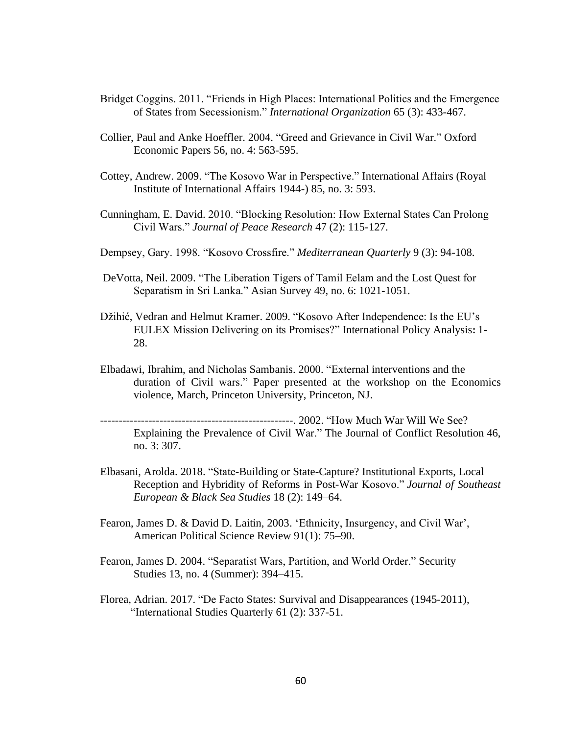- Bridget Coggins. 2011. "Friends in High Places: International Politics and the Emergence of States from Secessionism." *International Organization* 65 (3): 433-467.
- Collier, Paul and Anke Hoeffler. 2004. "Greed and Grievance in Civil War." Oxford Economic Papers 56, no. 4: 563-595.
- Cottey, Andrew. 2009. "The Kosovo War in Perspective." International Affairs (Royal Institute of International Affairs 1944-) 85, no. 3: 593.
- Cunningham, E. David. 2010. "Blocking Resolution: How External States Can Prolong Civil Wars." *Journal of Peace Research* 47 (2): 115-127.
- Dempsey, Gary. 1998. "Kosovo Crossfire." *Mediterranean Quarterly* 9 (3): 94-108.
- DeVotta, Neil. 2009. "The Liberation Tigers of Tamil Eelam and the Lost Quest for Separatism in Sri Lanka." Asian Survey 49, no. 6: 1021-1051.
- Džihić, Vedran and Helmut Kramer. 2009. "Kosovo After Independence: Is the EU's EULEX Mission Delivering on its Promises?" International Policy Analysis**:** 1- 28.
- Elbadawi, Ibrahim, and Nicholas Sambanis. 2000. "External interventions and the duration of Civil wars." Paper presented at the workshop on the Economics violence, March, Princeton University, Princeton, NJ.

----------------------------------------------------. 2002. "How Much War Will We See? Explaining the Prevalence of Civil War." The Journal of Conflict Resolution 46, no. 3: 307.

- Elbasani, Arolda. 2018. "State-Building or State-Capture? Institutional Exports, Local Reception and Hybridity of Reforms in Post-War Kosovo." *Journal of Southeast European & Black Sea Studies* 18 (2): 149–64.
- Fearon, James D. & David D. Laitin, 2003. 'Ethnicity, Insurgency, and Civil War', American Political Science Review 91(1): 75–90.
- Fearon, James D. 2004. "Separatist Wars, Partition, and World Order." Security Studies 13, no. 4 (Summer): 394–415.
- Florea, Adrian. 2017. "De Facto States: Survival and Disappearances (1945-2011), "International Studies Quarterly 61 (2): 337-51.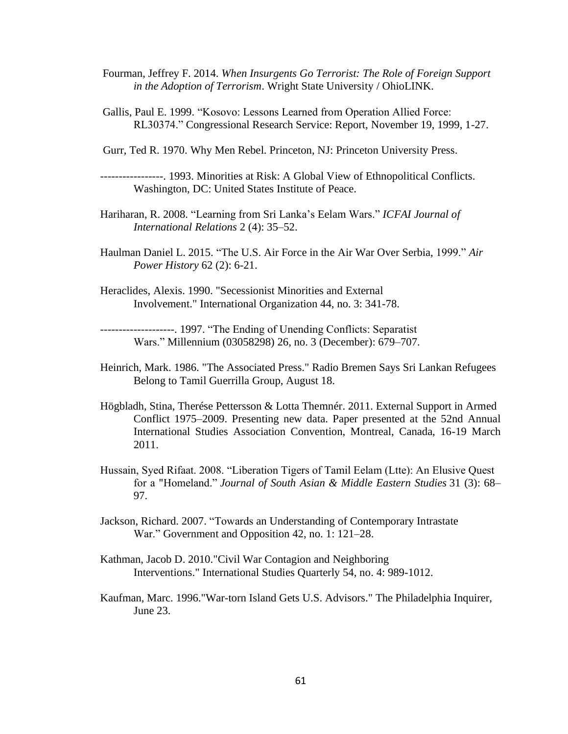- Fourman, Jeffrey F. 2014. *When Insurgents Go Terrorist: The Role of Foreign Support in the Adoption of Terrorism*. Wright State University / OhioLINK.
- Gallis, Paul E. 1999. "Kosovo: Lessons Learned from Operation Allied Force: RL30374." Congressional Research Service: Report, November 19, 1999, 1-27.
- Gurr, Ted R. 1970. Why Men Rebel. Princeton, NJ: Princeton University Press.

-----------------. 1993. Minorities at Risk: A Global View of Ethnopolitical Conflicts. Washington, DC: United States Institute of Peace.

- Hariharan, R. 2008. "Learning from Sri Lanka's Eelam Wars." *ICFAI Journal of International Relations* 2 (4): 35–52.
- Haulman Daniel L. 2015. "The U.S. Air Force in the Air War Over Serbia, 1999." *Air Power History* 62 (2): 6-21.
- Heraclides, Alexis. 1990. "Secessionist Minorities and External Involvement." International Organization 44, no. 3: 341-78.

--------------------. 1997. "The Ending of Unending Conflicts: Separatist Wars." Millennium (03058298) 26, no. 3 (December): 679–707.

- Heinrich, Mark. 1986. "The Associated Press." Radio Bremen Says Sri Lankan Refugees Belong to Tamil Guerrilla Group, August 18.
- Högbladh, Stina, Therése Pettersson & Lotta Themnér. 2011. External Support in Armed Conflict 1975–2009. Presenting new data. Paper presented at the 52nd Annual International Studies Association Convention, Montreal, Canada, 16-19 March 2011.
- Hussain, Syed Rifaat. 2008. "Liberation Tigers of Tamil Eelam (Ltte): An Elusive Quest for a "Homeland." *Journal of South Asian & Middle Eastern Studies* 31 (3): 68– 97.
- Jackson, Richard. 2007. "Towards an Understanding of Contemporary Intrastate War." Government and Opposition 42, no. 1: 121–28.
- Kathman, Jacob D. 2010."Civil War Contagion and Neighboring Interventions." International Studies Quarterly 54, no. 4: 989-1012.
- Kaufman, Marc. 1996."War-torn Island Gets U.S. Advisors." The Philadelphia Inquirer, June 23.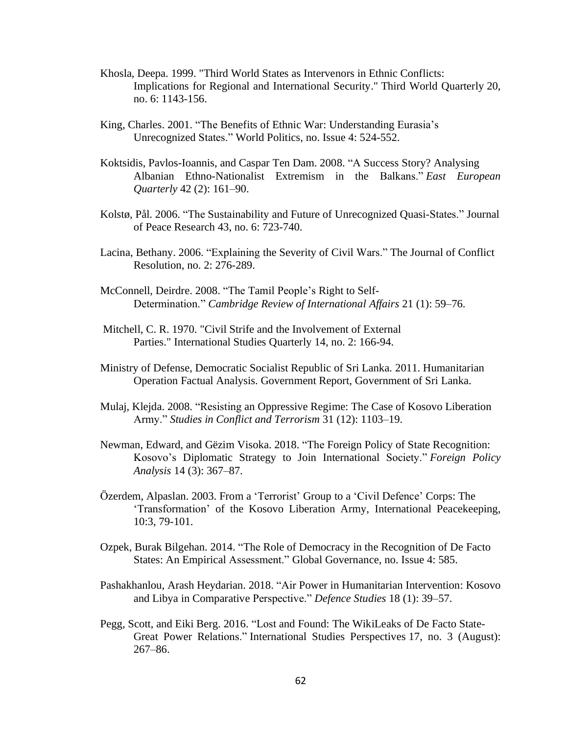- Khosla, Deepa. 1999. "Third World States as Intervenors in Ethnic Conflicts: Implications for Regional and International Security." Third World Quarterly 20, no. 6: 1143-156.
- King, Charles. 2001. "The Benefits of Ethnic War: Understanding Eurasia's Unrecognized States." World Politics, no. Issue 4: 524-552.
- Koktsidis, Pavlos-Ioannis, and Caspar Ten Dam. 2008. "A Success Story? Analysing Albanian Ethno-Nationalist Extremism in the Balkans." *East European Quarterly* 42 (2): 161–90.
- Kolstø, Pål. 2006. "The Sustainability and Future of Unrecognized Quasi-States." Journal of Peace Research 43, no. 6: 723-740.
- Lacina, Bethany. 2006. "Explaining the Severity of Civil Wars." The Journal of Conflict Resolution, no. 2: 276-289.
- McConnell, Deirdre. 2008. "The Tamil People's Right to Self-Determination." *Cambridge Review of International Affairs* 21 (1): 59–76.
- Mitchell, C. R. 1970. "Civil Strife and the Involvement of External Parties." International Studies Quarterly 14, no. 2: 166-94.
- Ministry of Defense, Democratic Socialist Republic of Sri Lanka. 2011. Humanitarian Operation Factual Analysis. Government Report, Government of Sri Lanka.
- Mulaj, Klejda. 2008. "Resisting an Oppressive Regime: The Case of Kosovo Liberation Army." *Studies in Conflict and Terrorism* 31 (12): 1103–19.
- Newman, Edward, and Gëzim Visoka. 2018. "The Foreign Policy of State Recognition: Kosovo's Diplomatic Strategy to Join International Society." *Foreign Policy Analysis* 14 (3): 367–87.
- Özerdem, Alpaslan. 2003. From a 'Terrorist' Group to a 'Civil Defence' Corps: The 'Transformation' of the Kosovo Liberation Army, International Peacekeeping, 10:3, 79-101.
- Ozpek, Burak Bilgehan. 2014. "The Role of Democracy in the Recognition of De Facto States: An Empirical Assessment." Global Governance, no. Issue 4: 585.
- Pashakhanlou, Arash Heydarian. 2018. "Air Power in Humanitarian Intervention: Kosovo and Libya in Comparative Perspective." *Defence Studies* 18 (1): 39–57.
- Pegg, Scott, and Eiki Berg. 2016. "Lost and Found: The WikiLeaks of De Facto State-Great Power Relations." International Studies Perspectives 17, no. 3 (August): 267–86.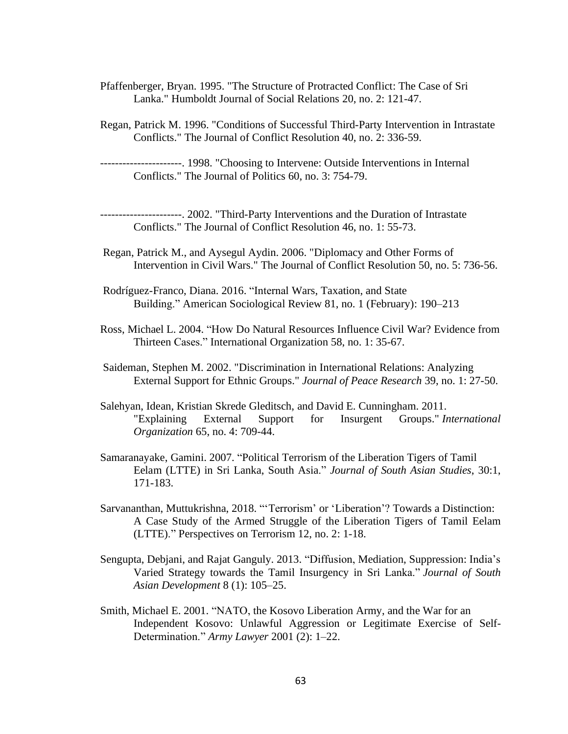- Pfaffenberger, Bryan. 1995. "The Structure of Protracted Conflict: The Case of Sri Lanka." Humboldt Journal of Social Relations 20, no. 2: 121-47.
- Regan, Patrick M. 1996. "Conditions of Successful Third-Party Intervention in Intrastate Conflicts." The Journal of Conflict Resolution 40, no. 2: 336-59.
- ----------------------. 1998. "Choosing to Intervene: Outside Interventions in Internal Conflicts." The Journal of Politics 60, no. 3: 754-79.

----------------------. 2002. "Third-Party Interventions and the Duration of Intrastate Conflicts." The Journal of Conflict Resolution 46, no. 1: 55-73.

- Regan, Patrick M., and Aysegul Aydin. 2006. "Diplomacy and Other Forms of Intervention in Civil Wars." The Journal of Conflict Resolution 50, no. 5: 736-56.
- Rodríguez-Franco, Diana. 2016. "Internal Wars, Taxation, and State Building." American Sociological Review 81, no. 1 (February): 190–213
- Ross, Michael L. 2004. "How Do Natural Resources Influence Civil War? Evidence from Thirteen Cases." International Organization 58, no. 1: 35-67.
- Saideman, Stephen M. 2002. "Discrimination in International Relations: Analyzing External Support for Ethnic Groups." *Journal of Peace Research* 39, no. 1: 27-50.
- Salehyan, Idean, Kristian Skrede Gleditsch, and David E. Cunningham. 2011. "Explaining External Support for Insurgent Groups." *International Organization* 65, no. 4: 709-44.
- Samaranayake, Gamini. 2007. "Political Terrorism of the Liberation Tigers of Tamil Eelam (LTTE) in Sri Lanka, South Asia." *Journal of South Asian Studies*, 30:1, 171-183.
- Sarvananthan, Muttukrishna, 2018. "'Terrorism' or 'Liberation'? Towards a Distinction: A Case Study of the Armed Struggle of the Liberation Tigers of Tamil Eelam (LTTE)." Perspectives on Terrorism 12, no. 2: 1-18.
- Sengupta, Debjani, and Rajat Ganguly. 2013. "Diffusion, Mediation, Suppression: India's Varied Strategy towards the Tamil Insurgency in Sri Lanka." *Journal of South Asian Development* 8 (1): 105–25.
- Smith, Michael E. 2001. "NATO, the Kosovo Liberation Army, and the War for an Independent Kosovo: Unlawful Aggression or Legitimate Exercise of Self-Determination." *Army Lawyer* 2001 (2): 1–22.